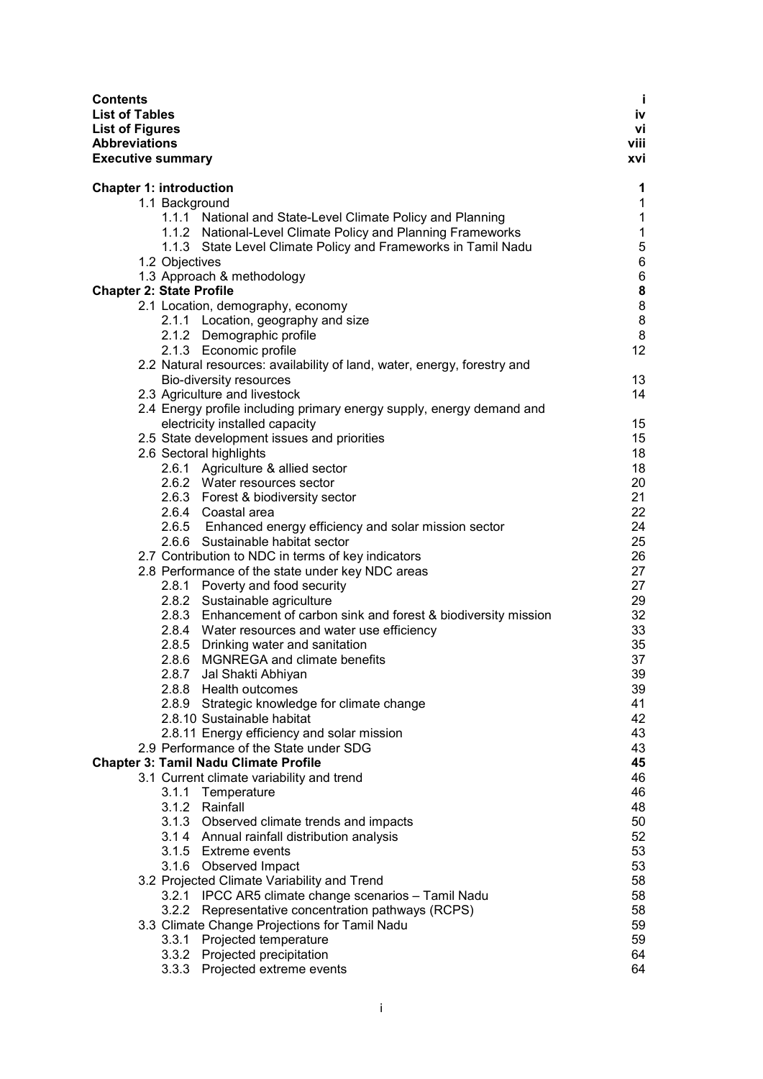| <b>Contents</b>                                                                       | j.                                    |
|---------------------------------------------------------------------------------------|---------------------------------------|
| <b>List of Tables</b>                                                                 | iv                                    |
| <b>List of Figures</b>                                                                | vi                                    |
| <b>Abbreviations</b><br><b>Executive summary</b>                                      | viii<br>xvi                           |
|                                                                                       |                                       |
| <b>Chapter 1: introduction</b>                                                        | 1                                     |
| 1.1 Background                                                                        | $\mathbf{1}$                          |
| 1.1.1 National and State-Level Climate Policy and Planning                            | $\mathbf{1}$                          |
| 1.1.2 National-Level Climate Policy and Planning Frameworks                           | $\mathbf{1}$                          |
| 1.1.3 State Level Climate Policy and Frameworks in Tamil Nadu                         | $\begin{array}{c} 5 \\ 6 \end{array}$ |
| 1.2 Objectives                                                                        | $\,6\,$                               |
| 1.3 Approach & methodology<br><b>Chapter 2: State Profile</b>                         | $\pmb{8}$                             |
| 2.1 Location, demography, economy                                                     | $\bf 8$                               |
| 2.1.1 Location, geography and size                                                    | $\bf 8$                               |
| 2.1.2 Demographic profile                                                             | $\bf 8$                               |
| 2.1.3 Economic profile                                                                | 12                                    |
| 2.2 Natural resources: availability of land, water, energy, forestry and              |                                       |
| <b>Bio-diversity resources</b>                                                        | 13                                    |
| 2.3 Agriculture and livestock                                                         | 14                                    |
| 2.4 Energy profile including primary energy supply, energy demand and                 |                                       |
| electricity installed capacity                                                        | 15                                    |
| 2.5 State development issues and priorities                                           | 15<br>18                              |
| 2.6 Sectoral highlights<br>2.6.1 Agriculture & allied sector                          | 18                                    |
| 2.6.2 Water resources sector                                                          | 20                                    |
| 2.6.3 Forest & biodiversity sector                                                    | 21                                    |
| 2.6.4 Coastal area                                                                    | 22                                    |
| 2.6.5 Enhanced energy efficiency and solar mission sector                             | 24                                    |
| 2.6.6 Sustainable habitat sector                                                      | 25                                    |
| 2.7 Contribution to NDC in terms of key indicators                                    | 26                                    |
| 2.8 Performance of the state under key NDC areas                                      | 27                                    |
| 2.8.1 Poverty and food security                                                       | 27                                    |
| 2.8.2 Sustainable agriculture                                                         | 29                                    |
| 2.8.3 Enhancement of carbon sink and forest & biodiversity mission                    | 32                                    |
| 2.8.4 Water resources and water use efficiency<br>2.8.5 Drinking water and sanitation | 33<br>35                              |
| 2.8.6 MGNREGA and climate benefits                                                    | 37                                    |
| 2.8.7 Jal Shakti Abhiyan                                                              | 39                                    |
| 2.8.8 Health outcomes                                                                 | 39                                    |
| 2.8.9 Strategic knowledge for climate change                                          | 41                                    |
| 2.8.10 Sustainable habitat                                                            | 42                                    |
| 2.8.11 Energy efficiency and solar mission                                            | 43                                    |
| 2.9 Performance of the State under SDG                                                | 43                                    |
| <b>Chapter 3: Tamil Nadu Climate Profile</b>                                          | 45                                    |
| 3.1 Current climate variability and trend                                             | 46                                    |
| Temperature<br>3.1.1<br>3.1.2 Rainfall                                                | 46<br>48                              |
| 3.1.3 Observed climate trends and impacts                                             | 50                                    |
| 3.1 4 Annual rainfall distribution analysis                                           | 52                                    |
| 3.1.5 Extreme events                                                                  | 53                                    |
| 3.1.6 Observed Impact                                                                 | 53                                    |
| 3.2 Projected Climate Variability and Trend                                           | 58                                    |
| 3.2.1 IPCC AR5 climate change scenarios - Tamil Nadu                                  | 58                                    |
| 3.2.2 Representative concentration pathways (RCPS)                                    | 58                                    |
| 3.3 Climate Change Projections for Tamil Nadu                                         | 59                                    |
| 3.3.1 Projected temperature                                                           | 59                                    |
| 3.3.2 Projected precipitation<br>3.3.3 Projected extreme events                       | 64<br>64                              |
|                                                                                       |                                       |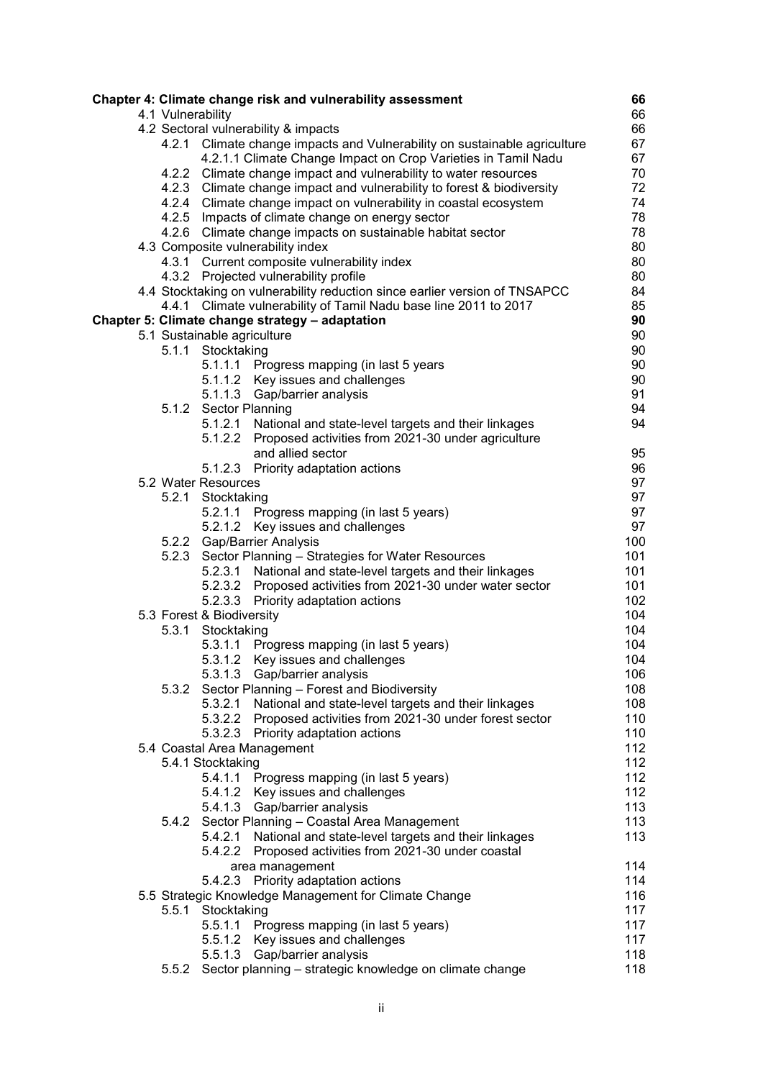|                   | Chapter 4: Climate change risk and vulnerability assessment                                                           | 66         |
|-------------------|-----------------------------------------------------------------------------------------------------------------------|------------|
| 4.1 Vulnerability |                                                                                                                       | 66         |
|                   | 4.2 Sectoral vulnerability & impacts                                                                                  | 66         |
|                   | 4.2.1 Climate change impacts and Vulnerability on sustainable agriculture                                             | 67         |
|                   | 4.2.1.1 Climate Change Impact on Crop Varieties in Tamil Nadu                                                         | 67         |
|                   | 4.2.2 Climate change impact and vulnerability to water resources                                                      | 70         |
|                   | 4.2.3 Climate change impact and vulnerability to forest & biodiversity                                                | 72         |
|                   | 4.2.4 Climate change impact on vulnerability in coastal ecosystem                                                     | 74         |
|                   | 4.2.5 Impacts of climate change on energy sector                                                                      | 78         |
|                   | 4.2.6 Climate change impacts on sustainable habitat sector                                                            | 78         |
|                   | 4.3 Composite vulnerability index                                                                                     | 80         |
|                   | 4.3.1 Current composite vulnerability index                                                                           | 80         |
|                   | 4.3.2 Projected vulnerability profile                                                                                 | 80         |
|                   | 4.4 Stocktaking on vulnerability reduction since earlier version of TNSAPCC                                           | 84         |
|                   | 4.4.1 Climate vulnerability of Tamil Nadu base line 2011 to 2017                                                      | 85         |
|                   | Chapter 5: Climate change strategy - adaptation                                                                       | 90         |
|                   | 5.1 Sustainable agriculture                                                                                           | 90         |
|                   | 5.1.1 Stocktaking                                                                                                     | 90         |
|                   | 5.1.1.1 Progress mapping (in last 5 years                                                                             | 90         |
|                   | 5.1.1.2 Key issues and challenges                                                                                     | 90         |
|                   | 5.1.1.3 Gap/barrier analysis                                                                                          | 91         |
|                   | 5.1.2 Sector Planning                                                                                                 | 94         |
|                   | 5.1.2.1 National and state-level targets and their linkages                                                           | 94         |
|                   | 5.1.2.2 Proposed activities from 2021-30 under agriculture                                                            |            |
|                   | and allied sector                                                                                                     | 95         |
|                   | 5.1.2.3 Priority adaptation actions                                                                                   | 96         |
|                   | 5.2 Water Resources                                                                                                   | 97         |
|                   | 5.2.1 Stocktaking                                                                                                     | 97         |
|                   | 5.2.1.1 Progress mapping (in last 5 years)                                                                            | 97<br>97   |
|                   | 5.2.1.2 Key issues and challenges                                                                                     |            |
|                   | 5.2.2 Gap/Barrier Analysis                                                                                            | 100        |
|                   | 5.2.3 Sector Planning - Strategies for Water Resources<br>5.2.3.1 National and state-level targets and their linkages | 101<br>101 |
|                   |                                                                                                                       | 101        |
|                   | 5.2.3.2 Proposed activities from 2021-30 under water sector                                                           |            |
|                   | 5.2.3.3 Priority adaptation actions                                                                                   | 102<br>104 |
|                   | 5.3 Forest & Biodiversity<br>5.3.1 Stocktaking                                                                        | 104        |
|                   |                                                                                                                       | 104        |
|                   | 5.3.1.1 Progress mapping (in last 5 years)<br>5.3.1.2 Key issues and challenges                                       | 104        |
|                   |                                                                                                                       |            |
|                   | 5.3.1.3 Gap/barrier analysis<br>5.3.2 Sector Planning - Forest and Biodiversity                                       | 106<br>108 |
|                   | 5.3.2.1 National and state-level targets and their linkages                                                           |            |
|                   | 5.3.2.2 Proposed activities from 2021-30 under forest sector                                                          | 108<br>110 |
|                   | 5.3.2.3 Priority adaptation actions                                                                                   | 110        |
|                   | 5.4 Coastal Area Management                                                                                           | 112        |
|                   | 5.4.1 Stocktaking                                                                                                     | 112        |
|                   | Progress mapping (in last 5 years)<br>5.4.1.1                                                                         | 112        |
|                   | 5.4.1.2 Key issues and challenges                                                                                     | 112        |
|                   | 5.4.1.3 Gap/barrier analysis                                                                                          | 113        |
|                   | 5.4.2 Sector Planning - Coastal Area Management                                                                       | 113        |
|                   | 5.4.2.1 National and state-level targets and their linkages                                                           | 113        |
|                   | 5.4.2.2 Proposed activities from 2021-30 under coastal                                                                |            |
|                   | area management                                                                                                       | 114        |
|                   |                                                                                                                       | 114        |
|                   | 5.4.2.3 Priority adaptation actions                                                                                   | 116        |
|                   | 5.5 Strategic Knowledge Management for Climate Change                                                                 | 117        |
| 5.5.1             | Stocktaking                                                                                                           | 117        |
|                   | 5.5.1.1 Progress mapping (in last 5 years)                                                                            | 117        |
|                   | 5.5.1.2 Key issues and challenges<br>5.5.1.3 Gap/barrier analysis                                                     | 118        |
| 5.5.2             | Sector planning - strategic knowledge on climate change                                                               | 118        |
|                   |                                                                                                                       |            |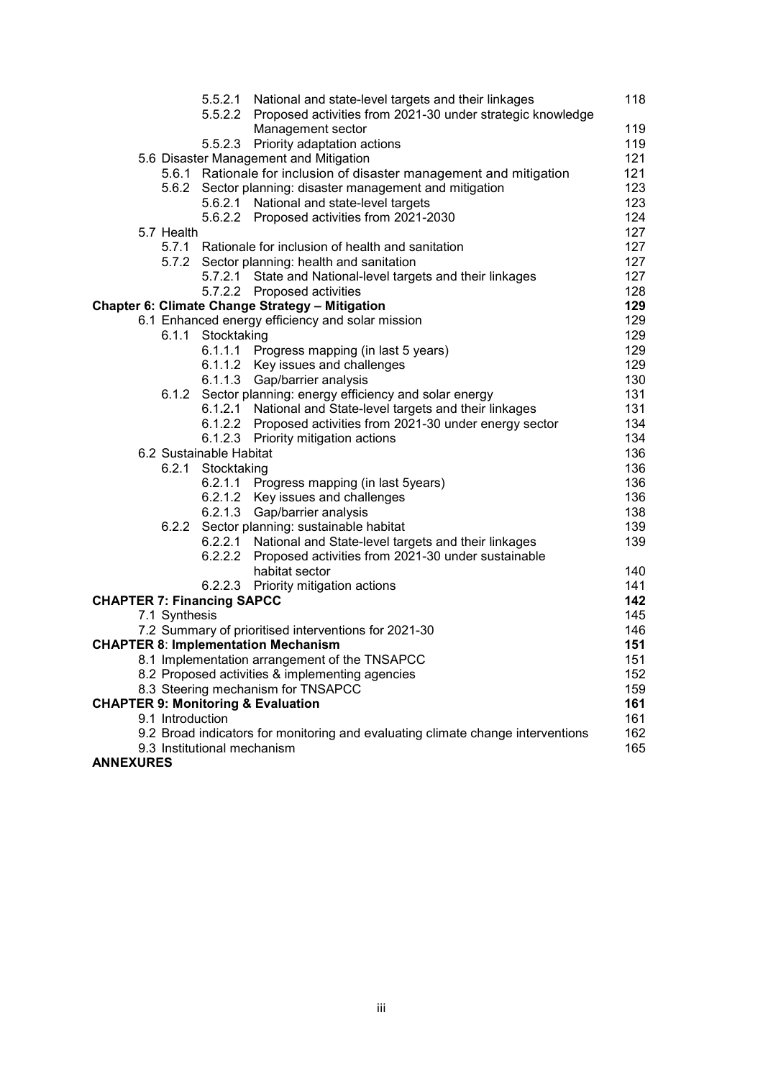|                                   |                  |                             | 5.5.2.1 National and state-level targets and their linkages                     | 118        |
|-----------------------------------|------------------|-----------------------------|---------------------------------------------------------------------------------|------------|
|                                   |                  |                             | 5.5.2.2 Proposed activities from 2021-30 under strategic knowledge              |            |
|                                   |                  |                             | Management sector<br>5.5.2.3 Priority adaptation actions                        | 119<br>119 |
|                                   |                  |                             | 5.6 Disaster Management and Mitigation                                          | 121        |
|                                   |                  |                             |                                                                                 | 121        |
|                                   |                  |                             | 5.6.1 Rationale for inclusion of disaster management and mitigation             |            |
|                                   |                  |                             | 5.6.2 Sector planning: disaster management and mitigation                       | 123        |
|                                   |                  |                             | 5.6.2.1 National and state-level targets                                        | 123        |
|                                   |                  |                             | 5.6.2.2 Proposed activities from 2021-2030                                      | 124        |
|                                   | 5.7 Health       |                             |                                                                                 | 127        |
|                                   |                  |                             | 5.7.1 Rationale for inclusion of health and sanitation                          | 127        |
|                                   |                  |                             | 5.7.2 Sector planning: health and sanitation                                    | 127        |
|                                   |                  |                             | 5.7.2.1 State and National-level targets and their linkages                     | 127        |
|                                   |                  |                             | 5.7.2.2 Proposed activities                                                     | 128        |
|                                   |                  |                             | Chapter 6: Climate Change Strategy - Mitigation                                 | 129        |
|                                   |                  |                             | 6.1 Enhanced energy efficiency and solar mission                                | 129        |
|                                   |                  | 6.1.1 Stocktaking           |                                                                                 | 129        |
|                                   |                  |                             | 6.1.1.1 Progress mapping (in last 5 years)                                      | 129        |
|                                   |                  |                             | 6.1.1.2 Key issues and challenges                                               | 129        |
|                                   |                  |                             | 6.1.1.3 Gap/barrier analysis                                                    | 130        |
|                                   |                  |                             | 6.1.2 Sector planning: energy efficiency and solar energy                       | 131        |
|                                   |                  |                             | 6.1.2.1 National and State-level targets and their linkages                     | 131        |
|                                   |                  |                             | 6.1.2.2 Proposed activities from 2021-30 under energy sector                    | 134        |
|                                   |                  |                             | 6.1.2.3 Priority mitigation actions                                             | 134        |
|                                   |                  | 6.2 Sustainable Habitat     |                                                                                 | 136        |
|                                   |                  | 6.2.1 Stocktaking           |                                                                                 | 136        |
|                                   |                  |                             | 6.2.1.1 Progress mapping (in last 5years)                                       | 136        |
|                                   |                  |                             | 6.2.1.2 Key issues and challenges                                               | 136        |
|                                   |                  |                             | 6.2.1.3 Gap/barrier analysis                                                    | 138        |
|                                   |                  |                             | 6.2.2 Sector planning: sustainable habitat                                      | 139        |
|                                   |                  |                             | 6.2.2.1 National and State-level targets and their linkages                     | 139        |
|                                   |                  |                             | 6.2.2.2 Proposed activities from 2021-30 under sustainable                      |            |
|                                   |                  |                             | habitat sector                                                                  | 140        |
|                                   |                  | 6.2.2.3                     | Priority mitigation actions                                                     | 141        |
| <b>CHAPTER 7: Financing SAPCC</b> |                  |                             |                                                                                 | 142        |
|                                   | 7.1 Synthesis    |                             |                                                                                 | 145        |
|                                   |                  |                             | 7.2 Summary of prioritised interventions for 2021-30                            | 146        |
|                                   |                  |                             | <b>CHAPTER 8: Implementation Mechanism</b>                                      | 151        |
|                                   |                  |                             | 8.1 Implementation arrangement of the TNSAPCC                                   | 151        |
|                                   |                  |                             | 8.2 Proposed activities & implementing agencies                                 | 152        |
|                                   |                  |                             | 8.3 Steering mechanism for TNSAPCC                                              | 159        |
|                                   |                  |                             | <b>CHAPTER 9: Monitoring &amp; Evaluation</b>                                   | 161        |
|                                   | 9.1 Introduction |                             |                                                                                 | 161        |
|                                   |                  |                             | 9.2 Broad indicators for monitoring and evaluating climate change interventions | 162        |
|                                   |                  | 9.3 Institutional mechanism |                                                                                 | 165        |

#### **ANNEXURES**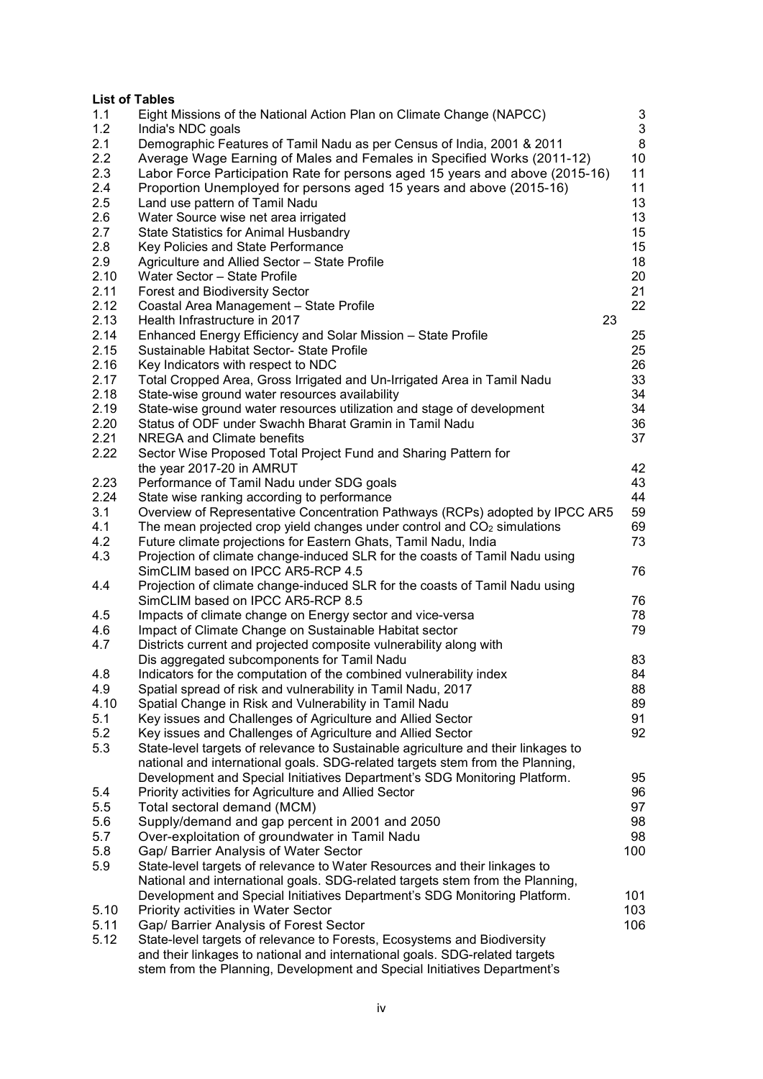| <b>List of Tables</b> |                                                                                                                  |                   |
|-----------------------|------------------------------------------------------------------------------------------------------------------|-------------------|
| 1.1<br>1.2            | Eight Missions of the National Action Plan on Climate Change (NAPCC)<br>India's NDC goals                        | 3<br>$\mathbf{3}$ |
| 2.1                   | Demographic Features of Tamil Nadu as per Census of India, 2001 & 2011                                           | 8                 |
| 2.2                   | Average Wage Earning of Males and Females in Specified Works (2011-12)                                           | 10                |
| 2.3                   | Labor Force Participation Rate for persons aged 15 years and above (2015-16)                                     | 11                |
| 2.4                   | Proportion Unemployed for persons aged 15 years and above (2015-16)                                              | 11                |
|                       |                                                                                                                  | 13                |
| 2.5                   | Land use pattern of Tamil Nadu                                                                                   |                   |
| 2.6                   | Water Source wise net area irrigated                                                                             | 13                |
| 2.7                   | <b>State Statistics for Animal Husbandry</b>                                                                     | 15                |
| 2.8                   | Key Policies and State Performance                                                                               | 15                |
| 2.9                   | Agriculture and Allied Sector - State Profile                                                                    | 18                |
| 2.10                  | Water Sector - State Profile                                                                                     | 20                |
| 2.11                  | <b>Forest and Biodiversity Sector</b>                                                                            | 21                |
| 2.12                  | Coastal Area Management - State Profile                                                                          | 22                |
| 2.13                  | Health Infrastructure in 2017<br>23                                                                              |                   |
| 2.14                  | Enhanced Energy Efficiency and Solar Mission - State Profile                                                     | 25                |
| 2.15                  | Sustainable Habitat Sector- State Profile                                                                        | 25                |
| 2.16                  | Key Indicators with respect to NDC                                                                               | 26                |
| 2.17                  | Total Cropped Area, Gross Irrigated and Un-Irrigated Area in Tamil Nadu                                          | 33                |
| 2.18                  | State-wise ground water resources availability                                                                   | 34                |
| 2.19                  | State-wise ground water resources utilization and stage of development                                           | 34                |
| 2.20                  | Status of ODF under Swachh Bharat Gramin in Tamil Nadu                                                           | 36                |
| 2.21                  | <b>NREGA and Climate benefits</b>                                                                                | 37                |
| 2.22                  | Sector Wise Proposed Total Project Fund and Sharing Pattern for                                                  |                   |
|                       | the year 2017-20 in AMRUT                                                                                        | 42                |
| 2.23                  | Performance of Tamil Nadu under SDG goals                                                                        | 43                |
| 2.24                  | State wise ranking according to performance                                                                      | 44                |
| 3.1                   | Overview of Representative Concentration Pathways (RCPs) adopted by IPCC AR5                                     | 59                |
| 4.1                   | The mean projected crop yield changes under control and $CO2$ simulations                                        | 69                |
| 4.2                   | Future climate projections for Eastern Ghats, Tamil Nadu, India                                                  | 73                |
| 4.3                   | Projection of climate change-induced SLR for the coasts of Tamil Nadu using<br>SimCLIM based on IPCC AR5-RCP 4.5 | 76                |
| 4.4                   | Projection of climate change-induced SLR for the coasts of Tamil Nadu using<br>SimCLIM based on IPCC AR5-RCP 8.5 | 76                |
| 4.5                   | Impacts of climate change on Energy sector and vice-versa                                                        | 78                |
| 4.6                   | Impact of Climate Change on Sustainable Habitat sector                                                           | 79                |
| 4.7                   | Districts current and projected composite vulnerability along with                                               |                   |
|                       | Dis aggregated subcomponents for Tamil Nadu                                                                      | 83                |
| 4.8                   | Indicators for the computation of the combined vulnerability index                                               | 84                |
| 4.9                   | Spatial spread of risk and vulnerability in Tamil Nadu, 2017                                                     | 88                |
| 4.10                  | Spatial Change in Risk and Vulnerability in Tamil Nadu                                                           | 89                |
| 5.1                   | Key issues and Challenges of Agriculture and Allied Sector                                                       | 91                |
| 5.2                   | Key issues and Challenges of Agriculture and Allied Sector                                                       | 92                |
| 5.3                   | State-level targets of relevance to Sustainable agriculture and their linkages to                                |                   |
|                       | national and international goals. SDG-related targets stem from the Planning,                                    |                   |
|                       | Development and Special Initiatives Department's SDG Monitoring Platform.                                        | 95                |
| 5.4                   | Priority activities for Agriculture and Allied Sector                                                            | 96                |
| 5.5                   | Total sectoral demand (MCM)                                                                                      | 97                |
| 5.6                   | Supply/demand and gap percent in 2001 and 2050                                                                   | 98                |
| 5.7                   | Over-exploitation of groundwater in Tamil Nadu                                                                   | 98                |
| 5.8                   | Gap/ Barrier Analysis of Water Sector                                                                            | 100               |
| 5.9                   | State-level targets of relevance to Water Resources and their linkages to                                        |                   |
|                       | National and international goals. SDG-related targets stem from the Planning,                                    |                   |
|                       | Development and Special Initiatives Department's SDG Monitoring Platform.                                        | 101               |
| 5.10                  | Priority activities in Water Sector                                                                              | 103               |
| 5.11                  | Gap/ Barrier Analysis of Forest Sector                                                                           | 106               |
| 5.12                  | State-level targets of relevance to Forests, Ecosystems and Biodiversity                                         |                   |
|                       | and their linkages to national and international goals. SDG-related targets                                      |                   |
|                       | stem from the Planning, Development and Special Initiatives Department's                                         |                   |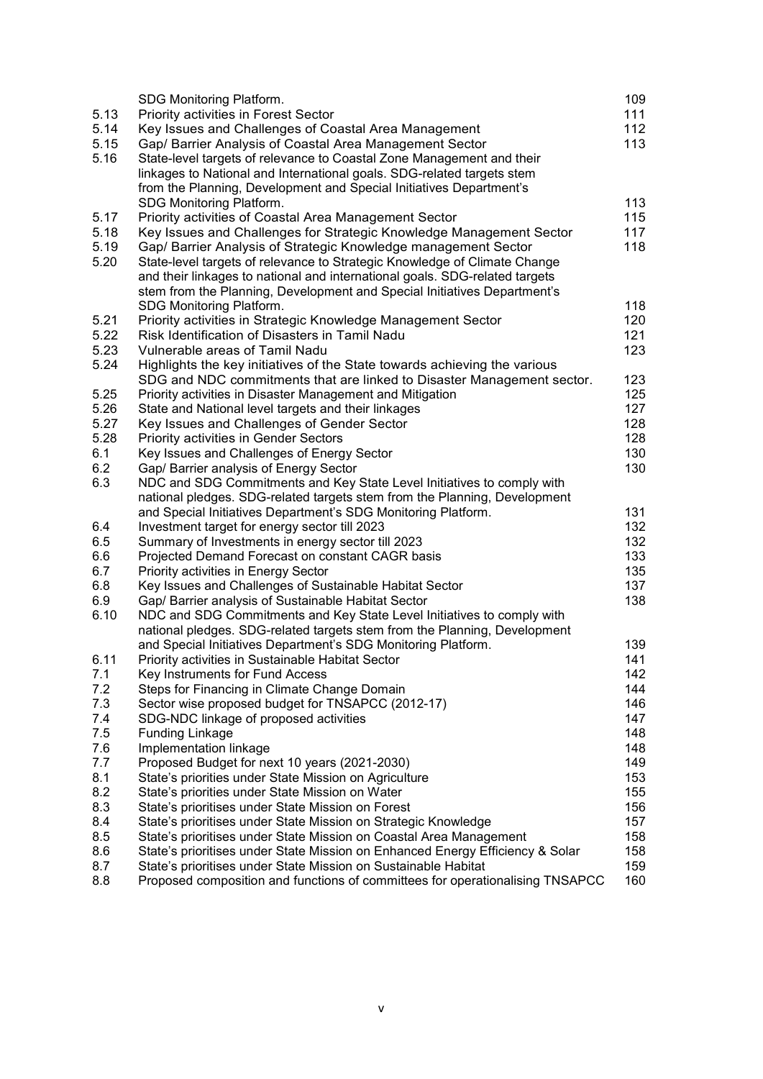|            | SDG Monitoring Platform.                                                                                                      | 109        |
|------------|-------------------------------------------------------------------------------------------------------------------------------|------------|
| 5.13       | Priority activities in Forest Sector                                                                                          | 111        |
| 5.14       | Key Issues and Challenges of Coastal Area Management                                                                          | 112        |
| 5.15       | Gap/ Barrier Analysis of Coastal Area Management Sector                                                                       | 113        |
| 5.16       | State-level targets of relevance to Coastal Zone Management and their                                                         |            |
|            | linkages to National and International goals. SDG-related targets stem                                                        |            |
|            | from the Planning, Development and Special Initiatives Department's                                                           |            |
|            | SDG Monitoring Platform.                                                                                                      | 113        |
| 5.17       | Priority activities of Coastal Area Management Sector                                                                         | 115        |
| 5.18       | Key Issues and Challenges for Strategic Knowledge Management Sector                                                           | 117        |
| 5.19       | Gap/ Barrier Analysis of Strategic Knowledge management Sector                                                                | 118        |
| 5.20       | State-level targets of relevance to Strategic Knowledge of Climate Change                                                     |            |
|            | and their linkages to national and international goals. SDG-related targets                                                   |            |
|            | stem from the Planning, Development and Special Initiatives Department's                                                      |            |
|            | SDG Monitoring Platform.                                                                                                      | 118        |
| 5.21       | Priority activities in Strategic Knowledge Management Sector                                                                  | 120        |
| 5.22       | Risk Identification of Disasters in Tamil Nadu                                                                                | 121        |
| 5.23       | Vulnerable areas of Tamil Nadu                                                                                                | 123        |
| 5.24       | Highlights the key initiatives of the State towards achieving the various                                                     |            |
|            | SDG and NDC commitments that are linked to Disaster Management sector.                                                        | 123        |
| 5.25       | Priority activities in Disaster Management and Mitigation                                                                     | 125        |
| 5.26       | State and National level targets and their linkages                                                                           | 127        |
| 5.27       | Key Issues and Challenges of Gender Sector                                                                                    | 128        |
| 5.28       | Priority activities in Gender Sectors                                                                                         | 128        |
| 6.1        | Key Issues and Challenges of Energy Sector                                                                                    | 130        |
| 6.2        | Gap/ Barrier analysis of Energy Sector                                                                                        | 130        |
| 6.3        | NDC and SDG Commitments and Key State Level Initiatives to comply with                                                        |            |
|            |                                                                                                                               |            |
|            | national pledges. SDG-related targets stem from the Planning, Development                                                     | 131        |
| 6.4        | and Special Initiatives Department's SDG Monitoring Platform.                                                                 | 132        |
|            | Investment target for energy sector till 2023                                                                                 |            |
| 6.5        | Summary of Investments in energy sector till 2023                                                                             | 132        |
| 6.6        | Projected Demand Forecast on constant CAGR basis                                                                              | 133        |
| 6.7<br>6.8 | Priority activities in Energy Sector                                                                                          | 135<br>137 |
|            | Key Issues and Challenges of Sustainable Habitat Sector                                                                       | 138        |
| 6.9        | Gap/ Barrier analysis of Sustainable Habitat Sector<br>NDC and SDG Commitments and Key State Level Initiatives to comply with |            |
| 6.10       |                                                                                                                               |            |
|            | national pledges. SDG-related targets stem from the Planning, Development                                                     |            |
|            | and Special Initiatives Department's SDG Monitoring Platform.                                                                 | 139<br>141 |
| 6.11       | Priority activities in Sustainable Habitat Sector                                                                             |            |
| 7.1        | Key Instruments for Fund Access                                                                                               | 142        |
| 7.2        | Steps for Financing in Climate Change Domain                                                                                  | 144        |
| 7.3        | Sector wise proposed budget for TNSAPCC (2012-17)                                                                             | 146        |
| 7.4        | SDG-NDC linkage of proposed activities                                                                                        | 147        |
| 7.5        | <b>Funding Linkage</b>                                                                                                        | 148        |
| 7.6        | Implementation linkage                                                                                                        | 148        |
| 7.7        | Proposed Budget for next 10 years (2021-2030)                                                                                 | 149        |
| 8.1        | State's priorities under State Mission on Agriculture                                                                         | 153        |
| 8.2        | State's priorities under State Mission on Water                                                                               | 155        |
| 8.3        | State's prioritises under State Mission on Forest                                                                             | 156        |
| 8.4        | State's prioritises under State Mission on Strategic Knowledge                                                                | 157        |
| 8.5        | State's prioritises under State Mission on Coastal Area Management                                                            | 158        |
| 8.6        | State's prioritises under State Mission on Enhanced Energy Efficiency & Solar                                                 | 158        |
| 8.7        | State's prioritises under State Mission on Sustainable Habitat                                                                | 159        |
| 8.8        | Proposed composition and functions of committees for operationalising TNSAPCC                                                 | 160        |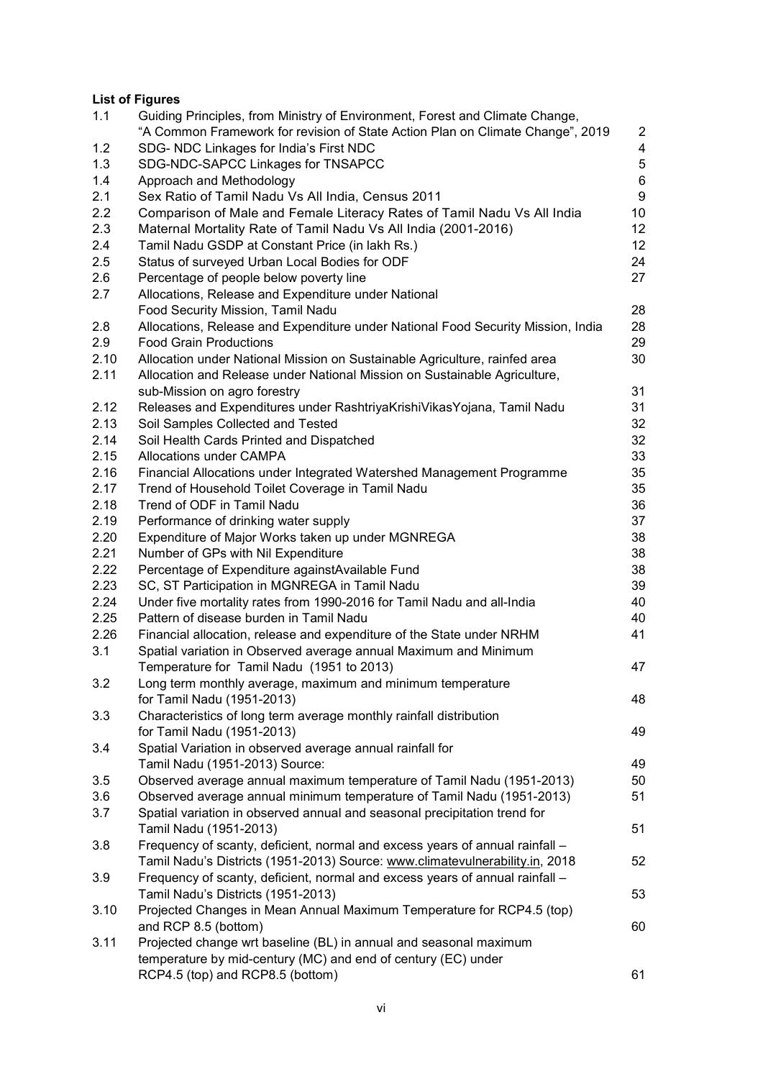## **List of Figures**

| 1.1  | Guiding Principles, from Ministry of Environment, Forest and Climate Change,     |                 |
|------|----------------------------------------------------------------------------------|-----------------|
|      | "A Common Framework for revision of State Action Plan on Climate Change", 2019   | $\overline{2}$  |
| 1.2  | SDG- NDC Linkages for India's First NDC                                          | 4               |
| 1.3  | SDG-NDC-SAPCC Linkages for TNSAPCC                                               | $5\,$           |
| 1.4  | Approach and Methodology                                                         | $\,6\,$         |
| 2.1  | Sex Ratio of Tamil Nadu Vs All India, Census 2011                                | 9               |
| 2.2  | Comparison of Male and Female Literacy Rates of Tamil Nadu Vs All India          | 10              |
| 2.3  | Maternal Mortality Rate of Tamil Nadu Vs All India (2001-2016)                   | 12 <sub>2</sub> |
| 2.4  | Tamil Nadu GSDP at Constant Price (in lakh Rs.)                                  | 12 <sub>2</sub> |
| 2.5  | Status of surveyed Urban Local Bodies for ODF                                    | 24              |
| 2.6  | Percentage of people below poverty line                                          | 27              |
| 2.7  | Allocations, Release and Expenditure under National                              |                 |
|      | Food Security Mission, Tamil Nadu                                                | 28              |
| 2.8  | Allocations, Release and Expenditure under National Food Security Mission, India | 28              |
| 2.9  | <b>Food Grain Productions</b>                                                    | 29              |
| 2.10 | Allocation under National Mission on Sustainable Agriculture, rainfed area       | 30              |
| 2.11 | Allocation and Release under National Mission on Sustainable Agriculture,        |                 |
|      | sub-Mission on agro forestry                                                     | 31              |
| 2.12 | Releases and Expenditures under RashtriyaKrishiVikasYojana, Tamil Nadu           | 31              |
| 2.13 | Soil Samples Collected and Tested                                                | 32              |
| 2.14 | Soil Health Cards Printed and Dispatched                                         | 32              |
| 2.15 | <b>Allocations under CAMPA</b>                                                   | 33              |
| 2.16 | Financial Allocations under Integrated Watershed Management Programme            | 35              |
| 2.17 | Trend of Household Toilet Coverage in Tamil Nadu                                 | 35              |
| 2.18 | Trend of ODF in Tamil Nadu                                                       | 36              |
| 2.19 | Performance of drinking water supply                                             | 37              |
| 2.20 | Expenditure of Major Works taken up under MGNREGA                                | 38              |
| 2.21 | Number of GPs with Nil Expenditure                                               | 38              |
| 2.22 | Percentage of Expenditure againstAvailable Fund                                  | 38              |
| 2.23 | SC, ST Participation in MGNREGA in Tamil Nadu                                    | 39              |
| 2.24 | Under five mortality rates from 1990-2016 for Tamil Nadu and all-India           | 40              |
| 2.25 | Pattern of disease burden in Tamil Nadu                                          | 40              |
| 2.26 | Financial allocation, release and expenditure of the State under NRHM            | 41              |
| 3.1  | Spatial variation in Observed average annual Maximum and Minimum                 |                 |
|      | Temperature for Tamil Nadu (1951 to 2013)                                        | 47              |
| 3.2  | Long term monthly average, maximum and minimum temperature                       |                 |
|      | for Tamil Nadu (1951-2013)                                                       | 48              |
| 3.3  | Characteristics of long term average monthly rainfall distribution               |                 |
|      | for Tamil Nadu (1951-2013)                                                       | 49              |
| 3.4  | Spatial Variation in observed average annual rainfall for                        |                 |
|      | Tamil Nadu (1951-2013) Source:                                                   | 49              |
| 3.5  | Observed average annual maximum temperature of Tamil Nadu (1951-2013)            | 50              |
| 3.6  | Observed average annual minimum temperature of Tamil Nadu (1951-2013)            | 51              |
| 3.7  | Spatial variation in observed annual and seasonal precipitation trend for        |                 |
|      | Tamil Nadu (1951-2013)                                                           | 51              |
| 3.8  | Frequency of scanty, deficient, normal and excess years of annual rainfall -     |                 |
|      | Tamil Nadu's Districts (1951-2013) Source: www.climatevulnerability.in, 2018     | 52              |
| 3.9  | Frequency of scanty, deficient, normal and excess years of annual rainfall -     |                 |
|      | Tamil Nadu's Districts (1951-2013)                                               | 53              |
| 3.10 | Projected Changes in Mean Annual Maximum Temperature for RCP4.5 (top)            |                 |
|      | and RCP 8.5 (bottom)                                                             | 60              |
| 3.11 | Projected change wrt baseline (BL) in annual and seasonal maximum                |                 |
|      | temperature by mid-century (MC) and end of century (EC) under                    |                 |
|      | RCP4.5 (top) and RCP8.5 (bottom)                                                 | 61              |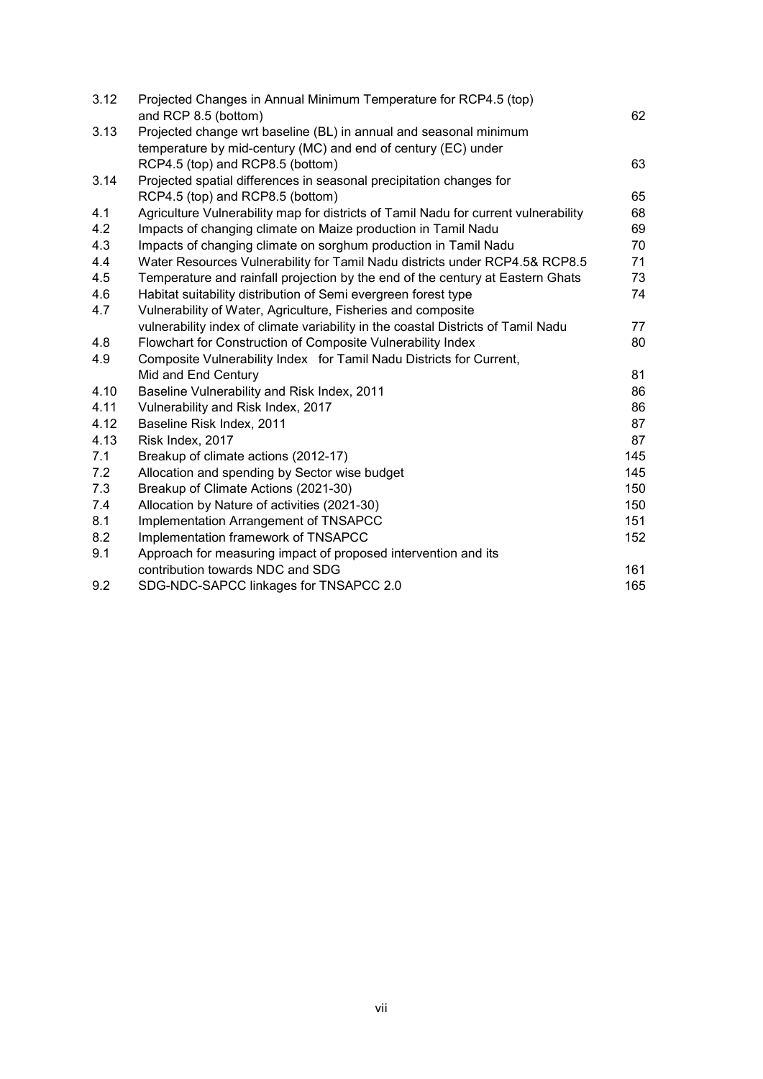| 3.12 | Projected Changes in Annual Minimum Temperature for RCP4.5 (top)                    |     |
|------|-------------------------------------------------------------------------------------|-----|
|      | and RCP 8.5 (bottom)                                                                | 62  |
| 3.13 | Projected change wrt baseline (BL) in annual and seasonal minimum                   |     |
|      | temperature by mid-century (MC) and end of century (EC) under                       |     |
|      | RCP4.5 (top) and RCP8.5 (bottom)                                                    | 63  |
| 3.14 | Projected spatial differences in seasonal precipitation changes for                 |     |
|      | RCP4.5 (top) and RCP8.5 (bottom)                                                    | 65  |
| 4.1  | Agriculture Vulnerability map for districts of Tamil Nadu for current vulnerability | 68  |
| 4.2  | Impacts of changing climate on Maize production in Tamil Nadu                       | 69  |
| 4.3  | Impacts of changing climate on sorghum production in Tamil Nadu                     | 70  |
| 4.4  | Water Resources Vulnerability for Tamil Nadu districts under RCP4.5& RCP8.5         | 71  |
| 4.5  | Temperature and rainfall projection by the end of the century at Eastern Ghats      | 73  |
| 4.6  | Habitat suitability distribution of Semi evergreen forest type                      | 74  |
| 4.7  | Vulnerability of Water, Agriculture, Fisheries and composite                        |     |
|      | vulnerability index of climate variability in the coastal Districts of Tamil Nadu   | 77  |
| 4.8  | Flowchart for Construction of Composite Vulnerability Index                         | 80  |
| 4.9  | Composite Vulnerability Index for Tamil Nadu Districts for Current,                 |     |
|      | Mid and End Century                                                                 | 81  |
| 4.10 | Baseline Vulnerability and Risk Index, 2011                                         | 86  |
| 4.11 | Vulnerability and Risk Index, 2017                                                  | 86  |
| 4.12 | Baseline Risk Index, 2011                                                           | 87  |
| 4.13 | Risk Index, 2017                                                                    | 87  |
| 7.1  | Breakup of climate actions (2012-17)                                                | 145 |
| 7.2  | Allocation and spending by Sector wise budget                                       | 145 |
| 7.3  | Breakup of Climate Actions (2021-30)                                                | 150 |
| 7.4  | Allocation by Nature of activities (2021-30)                                        | 150 |
| 8.1  | Implementation Arrangement of TNSAPCC                                               | 151 |
| 8.2  | Implementation framework of TNSAPCC                                                 | 152 |
| 9.1  | Approach for measuring impact of proposed intervention and its                      |     |
|      | contribution towards NDC and SDG                                                    | 161 |
| 9.2  | SDG-NDC-SAPCC linkages for TNSAPCC 2.0                                              | 165 |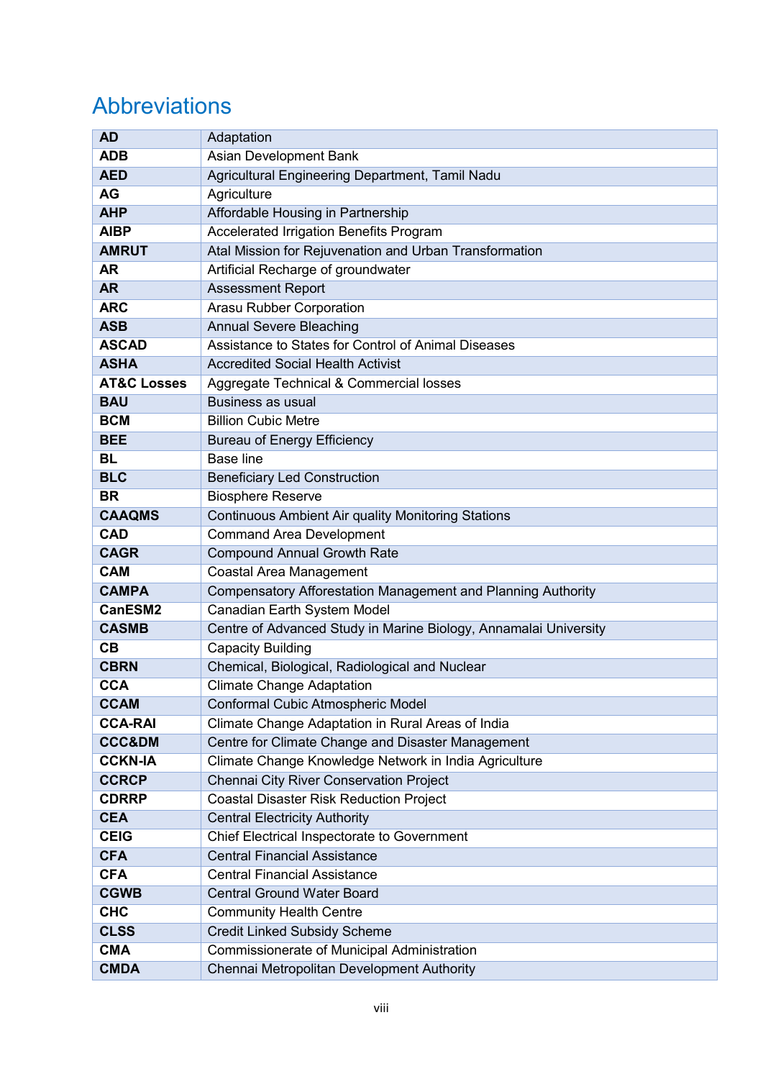# Abbreviations

| <b>AD</b>              | Adaptation                                                       |
|------------------------|------------------------------------------------------------------|
| <b>ADB</b>             | Asian Development Bank                                           |
| <b>AED</b>             | Agricultural Engineering Department, Tamil Nadu                  |
| AG                     | Agriculture                                                      |
| <b>AHP</b>             | Affordable Housing in Partnership                                |
| <b>AIBP</b>            | Accelerated Irrigation Benefits Program                          |
| <b>AMRUT</b>           | Atal Mission for Rejuvenation and Urban Transformation           |
| <b>AR</b>              | Artificial Recharge of groundwater                               |
| <b>AR</b>              | <b>Assessment Report</b>                                         |
| <b>ARC</b>             | <b>Arasu Rubber Corporation</b>                                  |
| <b>ASB</b>             | <b>Annual Severe Bleaching</b>                                   |
| <b>ASCAD</b>           | Assistance to States for Control of Animal Diseases              |
| <b>ASHA</b>            | <b>Accredited Social Health Activist</b>                         |
| <b>AT&amp;C Losses</b> | Aggregate Technical & Commercial losses                          |
| <b>BAU</b>             | <b>Business as usual</b>                                         |
| <b>BCM</b>             | <b>Billion Cubic Metre</b>                                       |
| <b>BEE</b>             | <b>Bureau of Energy Efficiency</b>                               |
| BL                     | <b>Base line</b>                                                 |
| <b>BLC</b>             | <b>Beneficiary Led Construction</b>                              |
| <b>BR</b>              | <b>Biosphere Reserve</b>                                         |
| <b>CAAQMS</b>          | <b>Continuous Ambient Air quality Monitoring Stations</b>        |
| <b>CAD</b>             | <b>Command Area Development</b>                                  |
| <b>CAGR</b>            | <b>Compound Annual Growth Rate</b>                               |
| <b>CAM</b>             | <b>Coastal Area Management</b>                                   |
| <b>CAMPA</b>           | Compensatory Afforestation Management and Planning Authority     |
| CanESM2                | Canadian Earth System Model                                      |
| <b>CASMB</b>           | Centre of Advanced Study in Marine Biology, Annamalai University |
| CB                     | <b>Capacity Building</b>                                         |
| <b>CBRN</b>            | Chemical, Biological, Radiological and Nuclear                   |
| <b>CCA</b>             | <b>Climate Change Adaptation</b>                                 |
| <b>CCAM</b>            | Conformal Cubic Atmospheric Model                                |
| <b>CCA-RAI</b>         | Climate Change Adaptation in Rural Areas of India                |
| <b>CCC&amp;DM</b>      | Centre for Climate Change and Disaster Management                |
| <b>CCKN-IA</b>         | Climate Change Knowledge Network in India Agriculture            |
| <b>CCRCP</b>           | Chennai City River Conservation Project                          |
| <b>CDRRP</b>           | <b>Coastal Disaster Risk Reduction Project</b>                   |
| <b>CEA</b>             | <b>Central Electricity Authority</b>                             |
| <b>CEIG</b>            | Chief Electrical Inspectorate to Government                      |
| <b>CFA</b>             | <b>Central Financial Assistance</b>                              |
| <b>CFA</b>             | <b>Central Financial Assistance</b>                              |
| <b>CGWB</b>            | <b>Central Ground Water Board</b>                                |
| <b>CHC</b>             | <b>Community Health Centre</b>                                   |
| <b>CLSS</b>            | <b>Credit Linked Subsidy Scheme</b>                              |
| <b>CMA</b>             | Commissionerate of Municipal Administration                      |
| <b>CMDA</b>            | Chennai Metropolitan Development Authority                       |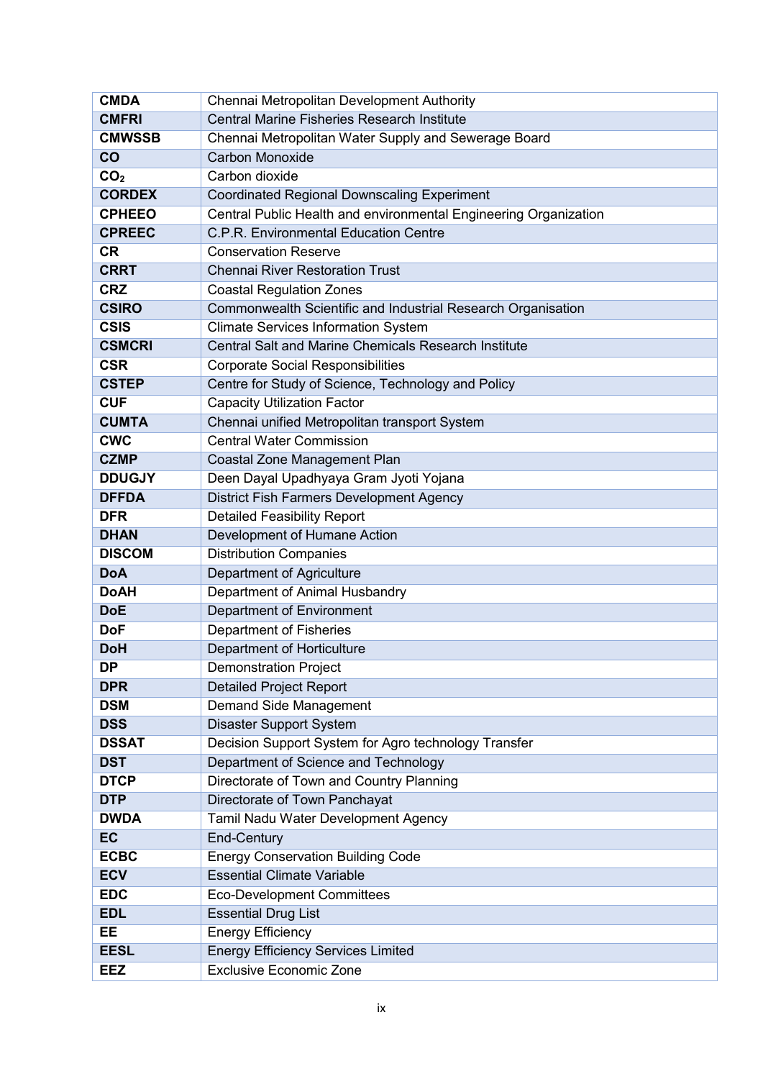| <b>CMDA</b>     | Chennai Metropolitan Development Authority                       |
|-----------------|------------------------------------------------------------------|
| <b>CMFRI</b>    | <b>Central Marine Fisheries Research Institute</b>               |
| <b>CMWSSB</b>   | Chennai Metropolitan Water Supply and Sewerage Board             |
| CO              | Carbon Monoxide                                                  |
| CO <sub>2</sub> | Carbon dioxide                                                   |
| <b>CORDEX</b>   | <b>Coordinated Regional Downscaling Experiment</b>               |
| <b>CPHEEO</b>   | Central Public Health and environmental Engineering Organization |
| <b>CPREEC</b>   | C.P.R. Environmental Education Centre                            |
| <b>CR</b>       | <b>Conservation Reserve</b>                                      |
| <b>CRRT</b>     | <b>Chennai River Restoration Trust</b>                           |
| <b>CRZ</b>      | <b>Coastal Regulation Zones</b>                                  |
| <b>CSIRO</b>    | Commonwealth Scientific and Industrial Research Organisation     |
| <b>CSIS</b>     | <b>Climate Services Information System</b>                       |
| <b>CSMCRI</b>   | Central Salt and Marine Chemicals Research Institute             |
| <b>CSR</b>      | <b>Corporate Social Responsibilities</b>                         |
| <b>CSTEP</b>    | Centre for Study of Science, Technology and Policy               |
| <b>CUF</b>      | <b>Capacity Utilization Factor</b>                               |
| <b>CUMTA</b>    | Chennai unified Metropolitan transport System                    |
| <b>CWC</b>      | <b>Central Water Commission</b>                                  |
| <b>CZMP</b>     | Coastal Zone Management Plan                                     |
| <b>DDUGJY</b>   | Deen Dayal Upadhyaya Gram Jyoti Yojana                           |
| <b>DFFDA</b>    | District Fish Farmers Development Agency                         |
| <b>DFR</b>      | <b>Detailed Feasibility Report</b>                               |
| <b>DHAN</b>     | Development of Humane Action                                     |
| <b>DISCOM</b>   | <b>Distribution Companies</b>                                    |
| <b>DoA</b>      | <b>Department of Agriculture</b>                                 |
| <b>DoAH</b>     | Department of Animal Husbandry                                   |
| <b>DoE</b>      | Department of Environment                                        |
| <b>DoF</b>      | <b>Department of Fisheries</b>                                   |
| <b>DoH</b>      | Department of Horticulture                                       |
| <b>DP</b>       | <b>Demonstration Project</b>                                     |
| <b>DPR</b>      | <b>Detailed Project Report</b>                                   |
| <b>DSM</b>      | Demand Side Management                                           |
| <b>DSS</b>      | <b>Disaster Support System</b>                                   |
| <b>DSSAT</b>    | Decision Support System for Agro technology Transfer             |
| <b>DST</b>      | Department of Science and Technology                             |
| <b>DTCP</b>     | Directorate of Town and Country Planning                         |
| <b>DTP</b>      | Directorate of Town Panchayat                                    |
| <b>DWDA</b>     | Tamil Nadu Water Development Agency                              |
| EC              | <b>End-Century</b>                                               |
| <b>ECBC</b>     | <b>Energy Conservation Building Code</b>                         |
| <b>ECV</b>      | <b>Essential Climate Variable</b>                                |
| <b>EDC</b>      | <b>Eco-Development Committees</b>                                |
| <b>EDL</b>      | <b>Essential Drug List</b>                                       |
| <b>EE</b>       | <b>Energy Efficiency</b>                                         |
| <b>EESL</b>     | <b>Energy Efficiency Services Limited</b>                        |
| <b>EEZ</b>      | <b>Exclusive Economic Zone</b>                                   |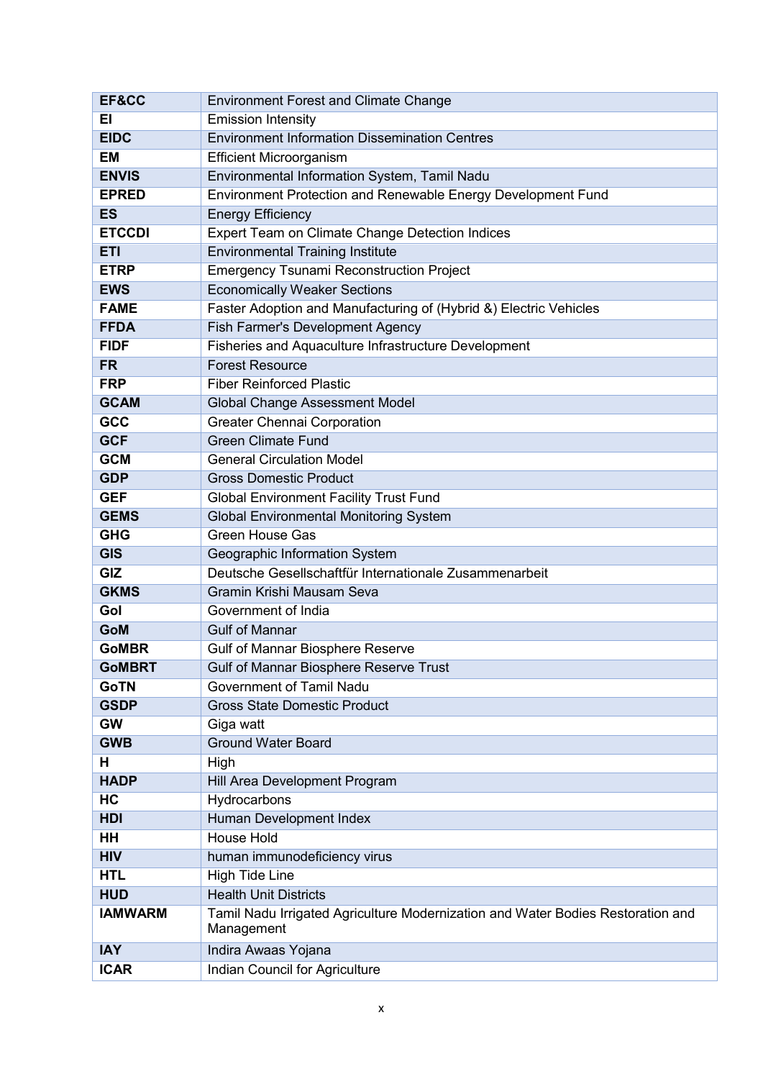| EI<br><b>Emission Intensity</b><br><b>EIDC</b><br><b>Environment Information Dissemination Centres</b> |  |
|--------------------------------------------------------------------------------------------------------|--|
|                                                                                                        |  |
|                                                                                                        |  |
| <b>EM</b><br><b>Efficient Microorganism</b>                                                            |  |
| Environmental Information System, Tamil Nadu<br><b>ENVIS</b>                                           |  |
| Environment Protection and Renewable Energy Development Fund<br><b>EPRED</b>                           |  |
| <b>ES</b><br><b>Energy Efficiency</b>                                                                  |  |
| Expert Team on Climate Change Detection Indices<br><b>ETCCDI</b>                                       |  |
| <b>Environmental Training Institute</b><br><b>ETI</b>                                                  |  |
| <b>Emergency Tsunami Reconstruction Project</b><br><b>ETRP</b>                                         |  |
| <b>Economically Weaker Sections</b><br><b>EWS</b>                                                      |  |
| Faster Adoption and Manufacturing of (Hybrid &) Electric Vehicles<br><b>FAME</b>                       |  |
| <b>FFDA</b><br>Fish Farmer's Development Agency                                                        |  |
| Fisheries and Aquaculture Infrastructure Development<br><b>FIDF</b>                                    |  |
| <b>FR</b><br><b>Forest Resource</b>                                                                    |  |
| <b>FRP</b><br><b>Fiber Reinforced Plastic</b>                                                          |  |
| <b>GCAM</b><br><b>Global Change Assessment Model</b>                                                   |  |
| GCC<br><b>Greater Chennai Corporation</b>                                                              |  |
| <b>GCF</b><br><b>Green Climate Fund</b>                                                                |  |
| <b>GCM</b><br><b>General Circulation Model</b>                                                         |  |
| <b>GDP</b><br><b>Gross Domestic Product</b>                                                            |  |
| <b>GEF</b><br><b>Global Environment Facility Trust Fund</b>                                            |  |
| <b>Global Environmental Monitoring System</b><br><b>GEMS</b>                                           |  |
| <b>GHG</b><br><b>Green House Gas</b>                                                                   |  |
| <b>GIS</b><br>Geographic Information System                                                            |  |
| GIZ<br>Deutsche Gesellschaftfür Internationale Zusammenarbeit                                          |  |
| <b>GKMS</b><br>Gramin Krishi Mausam Seva                                                               |  |
| Gol<br>Government of India                                                                             |  |
| <b>GoM</b><br><b>Gulf of Mannar</b>                                                                    |  |
| <b>GoMBR</b><br>Gulf of Mannar Biosphere Reserve                                                       |  |
| Gulf of Mannar Biosphere Reserve Trust<br><b>GoMBRT</b>                                                |  |
| <b>GoTN</b><br><b>Government of Tamil Nadu</b>                                                         |  |
| <b>GSDP</b><br><b>Gross State Domestic Product</b><br><b>GW</b>                                        |  |
| Giga watt<br><b>GWB</b><br><b>Ground Water Board</b>                                                   |  |
| н<br>High                                                                                              |  |
| <b>HADP</b><br>Hill Area Development Program                                                           |  |
| HC<br>Hydrocarbons                                                                                     |  |
| Human Development Index<br><b>HDI</b>                                                                  |  |
| <b>House Hold</b><br>HH                                                                                |  |
| <b>HIV</b><br>human immunodeficiency virus                                                             |  |
| <b>HTL</b><br>High Tide Line                                                                           |  |
| <b>Health Unit Districts</b><br><b>HUD</b>                                                             |  |
| Tamil Nadu Irrigated Agriculture Modernization and Water Bodies Restoration and<br><b>IAMWARM</b>      |  |
| Management                                                                                             |  |
| <b>IAY</b><br>Indira Awaas Yojana                                                                      |  |
| Indian Council for Agriculture<br><b>ICAR</b>                                                          |  |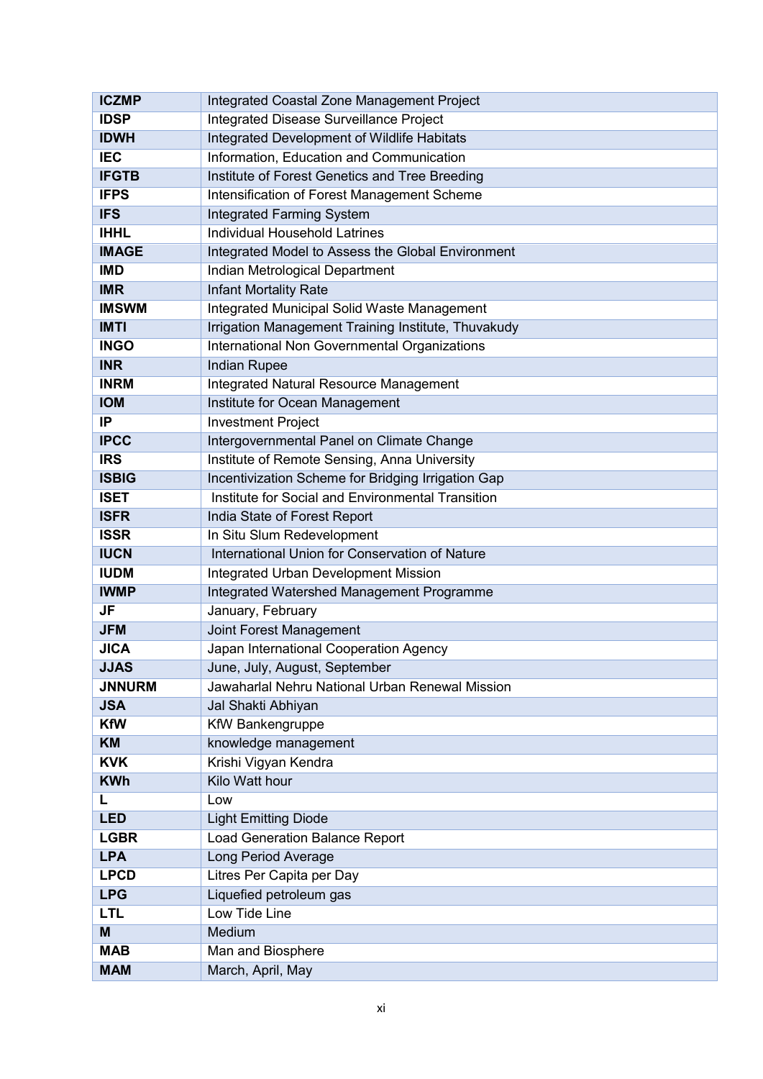| <b>ICZMP</b>  | Integrated Coastal Zone Management Project          |
|---------------|-----------------------------------------------------|
| <b>IDSP</b>   | Integrated Disease Surveillance Project             |
| <b>IDWH</b>   | Integrated Development of Wildlife Habitats         |
| <b>IEC</b>    | Information, Education and Communication            |
| <b>IFGTB</b>  | Institute of Forest Genetics and Tree Breeding      |
| <b>IFPS</b>   | Intensification of Forest Management Scheme         |
| <b>IFS</b>    | <b>Integrated Farming System</b>                    |
| <b>IHHL</b>   | Individual Household Latrines                       |
| <b>IMAGE</b>  | Integrated Model to Assess the Global Environment   |
| <b>IMD</b>    | Indian Metrological Department                      |
| <b>IMR</b>    | <b>Infant Mortality Rate</b>                        |
| <b>IMSWM</b>  | <b>Integrated Municipal Solid Waste Management</b>  |
| <b>IMTI</b>   | Irrigation Management Training Institute, Thuvakudy |
| <b>INGO</b>   | International Non Governmental Organizations        |
| <b>INR</b>    | <b>Indian Rupee</b>                                 |
| <b>INRM</b>   | Integrated Natural Resource Management              |
| <b>IOM</b>    | Institute for Ocean Management                      |
| IP            | <b>Investment Project</b>                           |
| <b>IPCC</b>   | Intergovernmental Panel on Climate Change           |
| <b>IRS</b>    | Institute of Remote Sensing, Anna University        |
| <b>ISBIG</b>  | Incentivization Scheme for Bridging Irrigation Gap  |
| <b>ISET</b>   | Institute for Social and Environmental Transition   |
| <b>ISFR</b>   | India State of Forest Report                        |
| <b>ISSR</b>   | In Situ Slum Redevelopment                          |
| <b>IUCN</b>   | International Union for Conservation of Nature      |
| <b>IUDM</b>   | Integrated Urban Development Mission                |
| <b>IWMP</b>   | Integrated Watershed Management Programme           |
| <b>JF</b>     | January, February                                   |
| <b>JFM</b>    | <b>Joint Forest Management</b>                      |
| <b>JICA</b>   | Japan International Cooperation Agency              |
| <b>JJAS</b>   | June, July, August, September                       |
| <b>JNNURM</b> | Jawaharlal Nehru National Urban Renewal Mission     |
| <b>JSA</b>    | Jal Shakti Abhiyan                                  |
| <b>KfW</b>    | <b>KfW Bankengruppe</b>                             |
| KM            | knowledge management                                |
| <b>KVK</b>    | Krishi Vigyan Kendra                                |
| <b>KWh</b>    | Kilo Watt hour                                      |
| L             | Low                                                 |
| <b>LED</b>    | <b>Light Emitting Diode</b>                         |
| <b>LGBR</b>   | <b>Load Generation Balance Report</b>               |
| <b>LPA</b>    | <b>Long Period Average</b>                          |
| <b>LPCD</b>   | Litres Per Capita per Day                           |
| <b>LPG</b>    | Liquefied petroleum gas                             |
| <b>LTL</b>    | Low Tide Line                                       |
| M             | Medium                                              |
| <b>MAB</b>    | Man and Biosphere                                   |
| <b>MAM</b>    | March, April, May                                   |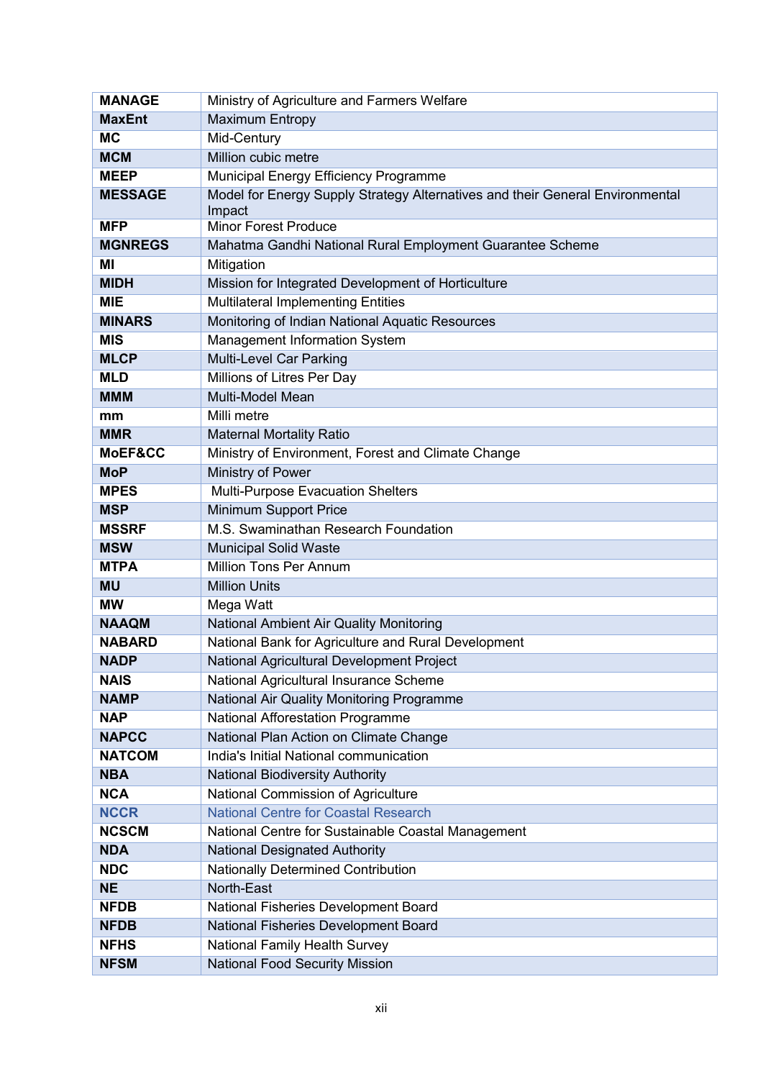| <b>MANAGE</b>  | Ministry of Agriculture and Farmers Welfare                                             |
|----------------|-----------------------------------------------------------------------------------------|
| <b>MaxEnt</b>  | <b>Maximum Entropy</b>                                                                  |
| <b>MC</b>      | Mid-Century                                                                             |
| <b>MCM</b>     | Million cubic metre                                                                     |
| <b>MEEP</b>    | Municipal Energy Efficiency Programme                                                   |
| <b>MESSAGE</b> | Model for Energy Supply Strategy Alternatives and their General Environmental<br>Impact |
| <b>MFP</b>     | <b>Minor Forest Produce</b>                                                             |
| <b>MGNREGS</b> | Mahatma Gandhi National Rural Employment Guarantee Scheme                               |
| MI             | Mitigation                                                                              |
| <b>MIDH</b>    | Mission for Integrated Development of Horticulture                                      |
| <b>MIE</b>     | <b>Multilateral Implementing Entities</b>                                               |
| <b>MINARS</b>  | Monitoring of Indian National Aquatic Resources                                         |
| <b>MIS</b>     | Management Information System                                                           |
| <b>MLCP</b>    | <b>Multi-Level Car Parking</b>                                                          |
| <b>MLD</b>     | Millions of Litres Per Day                                                              |
| <b>MMM</b>     | <b>Multi-Model Mean</b>                                                                 |
| mm             | Milli metre                                                                             |
| <b>MMR</b>     | <b>Maternal Mortality Ratio</b>                                                         |
| MoEF&CC        | Ministry of Environment, Forest and Climate Change                                      |
| <b>MoP</b>     | Ministry of Power                                                                       |
| <b>MPES</b>    | Multi-Purpose Evacuation Shelters                                                       |
| <b>MSP</b>     | Minimum Support Price                                                                   |
| <b>MSSRF</b>   | M.S. Swaminathan Research Foundation                                                    |
| <b>MSW</b>     | <b>Municipal Solid Waste</b>                                                            |
| <b>MTPA</b>    | <b>Million Tons Per Annum</b>                                                           |
| <b>MU</b>      | <b>Million Units</b>                                                                    |
| <b>MW</b>      | Mega Watt                                                                               |
| <b>NAAQM</b>   | National Ambient Air Quality Monitoring                                                 |
| <b>NABARD</b>  | National Bank for Agriculture and Rural Development                                     |
| <b>NADP</b>    | National Agricultural Development Project                                               |
| <b>NAIS</b>    | National Agricultural Insurance Scheme                                                  |
| <b>NAMP</b>    | National Air Quality Monitoring Programme                                               |
| <b>NAP</b>     | National Afforestation Programme                                                        |
| <b>NAPCC</b>   | National Plan Action on Climate Change                                                  |
| <b>NATCOM</b>  | India's Initial National communication                                                  |
| <b>NBA</b>     | <b>National Biodiversity Authority</b>                                                  |
| <b>NCA</b>     | National Commission of Agriculture                                                      |
| <b>NCCR</b>    | <b>National Centre for Coastal Research</b>                                             |
| <b>NCSCM</b>   | National Centre for Sustainable Coastal Management                                      |
| <b>NDA</b>     | <b>National Designated Authority</b>                                                    |
| <b>NDC</b>     | <b>Nationally Determined Contribution</b>                                               |
| <b>NE</b>      | North-East                                                                              |
| <b>NFDB</b>    | National Fisheries Development Board                                                    |
| <b>NFDB</b>    | National Fisheries Development Board                                                    |
| <b>NFHS</b>    | National Family Health Survey                                                           |
| <b>NFSM</b>    | <b>National Food Security Mission</b>                                                   |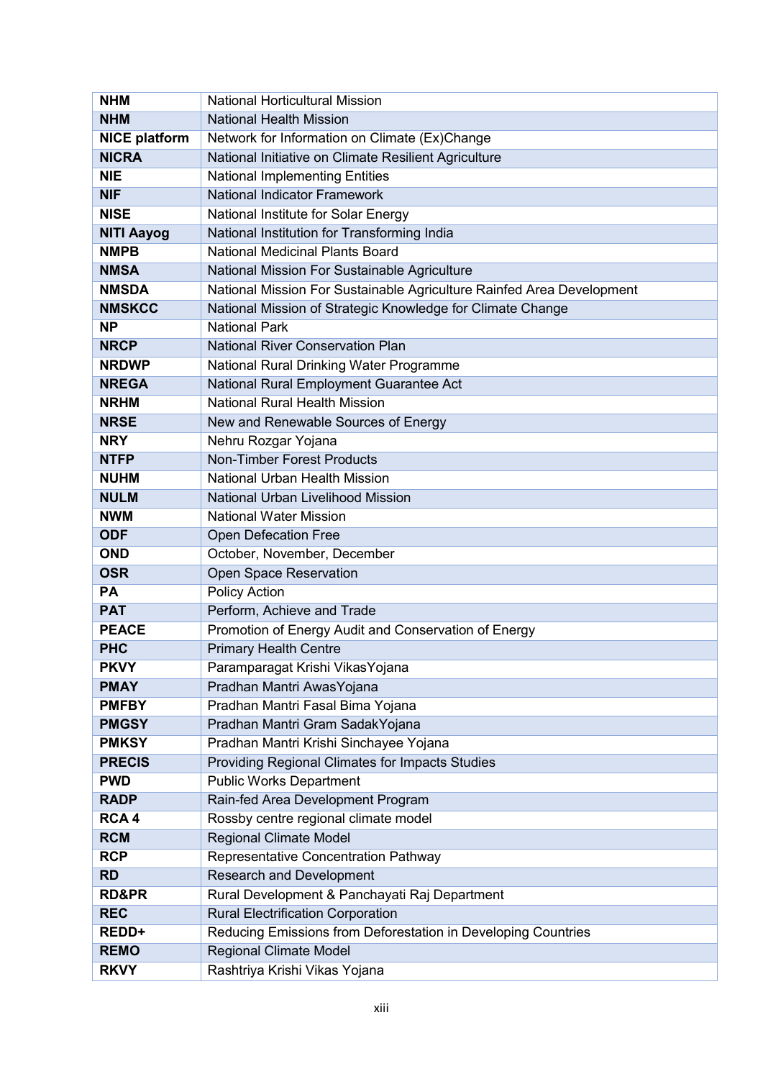| <b>NHM</b>                    | <b>National Horticultural Mission</b>                                                     |  |  |
|-------------------------------|-------------------------------------------------------------------------------------------|--|--|
| <b>NHM</b>                    | <b>National Health Mission</b>                                                            |  |  |
| <b>NICE platform</b>          | Network for Information on Climate (Ex)Change                                             |  |  |
| <b>NICRA</b>                  | National Initiative on Climate Resilient Agriculture                                      |  |  |
| <b>NIE</b>                    | <b>National Implementing Entities</b>                                                     |  |  |
| <b>NIF</b>                    | <b>National Indicator Framework</b>                                                       |  |  |
| <b>NISE</b>                   | National Institute for Solar Energy                                                       |  |  |
| <b>NITI Aayog</b>             | National Institution for Transforming India                                               |  |  |
| <b>NMPB</b>                   | <b>National Medicinal Plants Board</b>                                                    |  |  |
| <b>NMSA</b>                   | National Mission For Sustainable Agriculture                                              |  |  |
| <b>NMSDA</b>                  | National Mission For Sustainable Agriculture Rainfed Area Development                     |  |  |
| <b>NMSKCC</b>                 | National Mission of Strategic Knowledge for Climate Change                                |  |  |
| <b>NP</b>                     | <b>National Park</b>                                                                      |  |  |
| <b>NRCP</b>                   | <b>National River Conservation Plan</b>                                                   |  |  |
| <b>NRDWP</b>                  | National Rural Drinking Water Programme                                                   |  |  |
| <b>NREGA</b>                  | National Rural Employment Guarantee Act                                                   |  |  |
| <b>NRHM</b>                   | <b>National Rural Health Mission</b>                                                      |  |  |
| <b>NRSE</b>                   | New and Renewable Sources of Energy                                                       |  |  |
| <b>NRY</b>                    | Nehru Rozgar Yojana                                                                       |  |  |
| <b>NTFP</b>                   | <b>Non-Timber Forest Products</b>                                                         |  |  |
| <b>NUHM</b>                   | <b>National Urban Health Mission</b>                                                      |  |  |
| <b>NULM</b>                   | <b>National Urban Livelihood Mission</b>                                                  |  |  |
| <b>NWM</b>                    | <b>National Water Mission</b>                                                             |  |  |
| <b>ODF</b>                    | Open Defecation Free                                                                      |  |  |
| <b>OND</b>                    | October, November, December                                                               |  |  |
| <b>OSR</b>                    | Open Space Reservation                                                                    |  |  |
| <b>PA</b>                     | <b>Policy Action</b>                                                                      |  |  |
| <b>PAT</b>                    | Perform, Achieve and Trade                                                                |  |  |
| <b>PEACE</b>                  | Promotion of Energy Audit and Conservation of Energy                                      |  |  |
| <b>PHC</b>                    | <b>Primary Health Centre</b>                                                              |  |  |
| <b>PKVY</b>                   | Paramparagat Krishi VikasYojana                                                           |  |  |
| <b>PMAY</b>                   | Pradhan Mantri AwasYojana                                                                 |  |  |
| <b>PMFBY</b>                  | Pradhan Mantri Fasal Bima Yojana                                                          |  |  |
| <b>PMGSY</b>                  | Pradhan Mantri Gram SadakYojana                                                           |  |  |
| <b>PMKSY</b><br><b>PRECIS</b> | Pradhan Mantri Krishi Sinchayee Yojana<br>Providing Regional Climates for Impacts Studies |  |  |
| <b>PWD</b>                    | <b>Public Works Department</b>                                                            |  |  |
| <b>RADP</b>                   | Rain-fed Area Development Program                                                         |  |  |
| RCA <sub>4</sub>              | Rossby centre regional climate model                                                      |  |  |
| <b>RCM</b>                    | <b>Regional Climate Model</b>                                                             |  |  |
| <b>RCP</b>                    | Representative Concentration Pathway                                                      |  |  |
| <b>RD</b>                     | <b>Research and Development</b>                                                           |  |  |
| <b>RD&amp;PR</b>              | Rural Development & Panchayati Raj Department                                             |  |  |
| <b>REC</b>                    | <b>Rural Electrification Corporation</b>                                                  |  |  |
| REDD+                         | Reducing Emissions from Deforestation in Developing Countries                             |  |  |
| <b>REMO</b>                   | <b>Regional Climate Model</b>                                                             |  |  |
| <b>RKVY</b>                   | Rashtriya Krishi Vikas Yojana                                                             |  |  |
|                               |                                                                                           |  |  |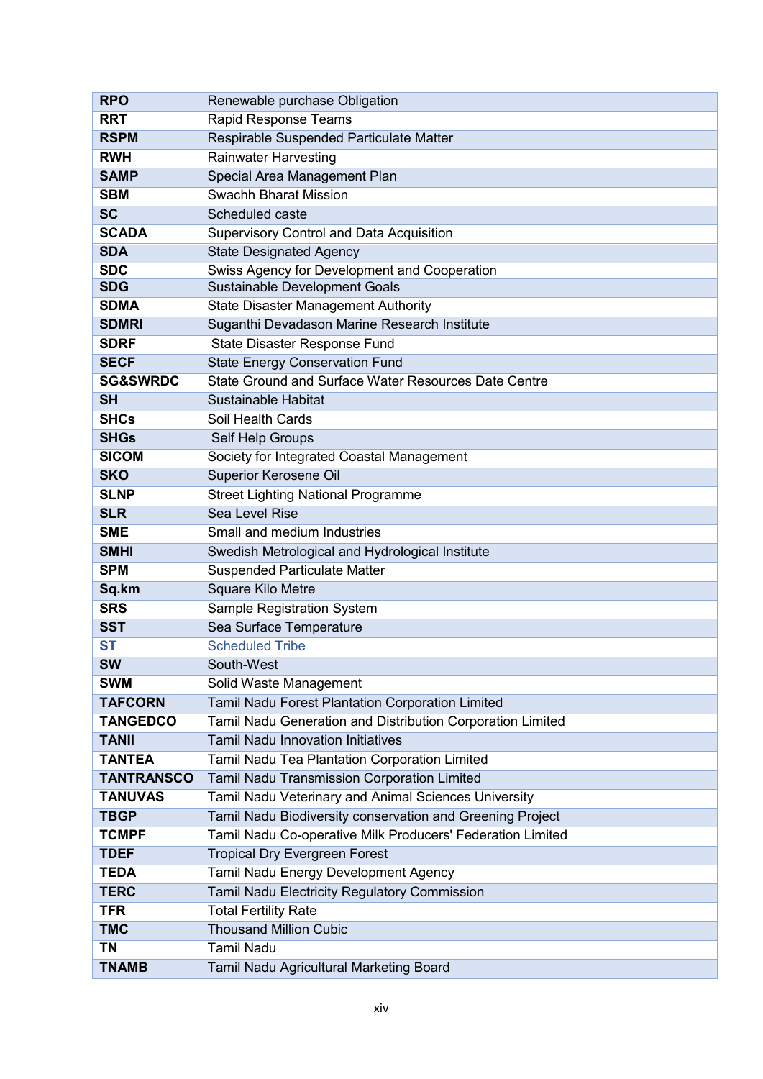| <b>RPO</b>             | Renewable purchase Obligation                              |  |  |
|------------------------|------------------------------------------------------------|--|--|
| <b>RRT</b>             | Rapid Response Teams                                       |  |  |
| <b>RSPM</b>            | Respirable Suspended Particulate Matter                    |  |  |
| <b>RWH</b>             | <b>Rainwater Harvesting</b>                                |  |  |
| <b>SAMP</b>            | Special Area Management Plan                               |  |  |
| <b>SBM</b>             | <b>Swachh Bharat Mission</b>                               |  |  |
| $\overline{\text{SC}}$ | Scheduled caste                                            |  |  |
| <b>SCADA</b>           | <b>Supervisory Control and Data Acquisition</b>            |  |  |
| <b>SDA</b>             | <b>State Designated Agency</b>                             |  |  |
| <b>SDC</b>             | Swiss Agency for Development and Cooperation               |  |  |
| <b>SDG</b>             | Sustainable Development Goals                              |  |  |
| <b>SDMA</b>            | <b>State Disaster Management Authority</b>                 |  |  |
| <b>SDMRI</b>           | Suganthi Devadason Marine Research Institute               |  |  |
| <b>SDRF</b>            | State Disaster Response Fund                               |  |  |
| <b>SECF</b>            | <b>State Energy Conservation Fund</b>                      |  |  |
| <b>SG&amp;SWRDC</b>    | State Ground and Surface Water Resources Date Centre       |  |  |
| <b>SH</b>              | Sustainable Habitat                                        |  |  |
| <b>SHCs</b>            | Soil Health Cards                                          |  |  |
| <b>SHGs</b>            | Self Help Groups                                           |  |  |
| <b>SICOM</b>           | Society for Integrated Coastal Management                  |  |  |
| <b>SKO</b>             | Superior Kerosene Oil                                      |  |  |
| <b>SLNP</b>            | <b>Street Lighting National Programme</b>                  |  |  |
| <b>SLR</b>             | <b>Sea Level Rise</b>                                      |  |  |
| <b>SME</b>             | Small and medium Industries                                |  |  |
| <b>SMHI</b>            | Swedish Metrological and Hydrological Institute            |  |  |
| <b>SPM</b>             | <b>Suspended Particulate Matter</b>                        |  |  |
| Sq.km                  | Square Kilo Metre                                          |  |  |
| <b>SRS</b>             | Sample Registration System                                 |  |  |
| <b>SST</b>             | Sea Surface Temperature                                    |  |  |
| <b>ST</b>              | <b>Scheduled Tribe</b>                                     |  |  |
| <b>SW</b>              | South-West                                                 |  |  |
| <b>SWM</b>             | Solid Waste Management                                     |  |  |
| <b>TAFCORN</b>         | Tamil Nadu Forest Plantation Corporation Limited           |  |  |
| <b>TANGEDCO</b>        | Tamil Nadu Generation and Distribution Corporation Limited |  |  |
| <b>TANII</b>           | <b>Tamil Nadu Innovation Initiatives</b>                   |  |  |
| <b>TANTEA</b>          | Tamil Nadu Tea Plantation Corporation Limited              |  |  |
| <b>TANTRANSCO</b>      | Tamil Nadu Transmission Corporation Limited                |  |  |
| <b>TANUVAS</b>         | Tamil Nadu Veterinary and Animal Sciences University       |  |  |
| <b>TBGP</b>            | Tamil Nadu Biodiversity conservation and Greening Project  |  |  |
| <b>TCMPF</b>           | Tamil Nadu Co-operative Milk Producers' Federation Limited |  |  |
| <b>TDEF</b>            | <b>Tropical Dry Evergreen Forest</b>                       |  |  |
| <b>TEDA</b>            | Tamil Nadu Energy Development Agency                       |  |  |
| <b>TERC</b>            | Tamil Nadu Electricity Regulatory Commission               |  |  |
| <b>TFR</b>             | <b>Total Fertility Rate</b>                                |  |  |
| <b>TMC</b>             | <b>Thousand Million Cubic</b>                              |  |  |
| <b>TN</b>              | <b>Tamil Nadu</b>                                          |  |  |
| <b>TNAMB</b>           | Tamil Nadu Agricultural Marketing Board                    |  |  |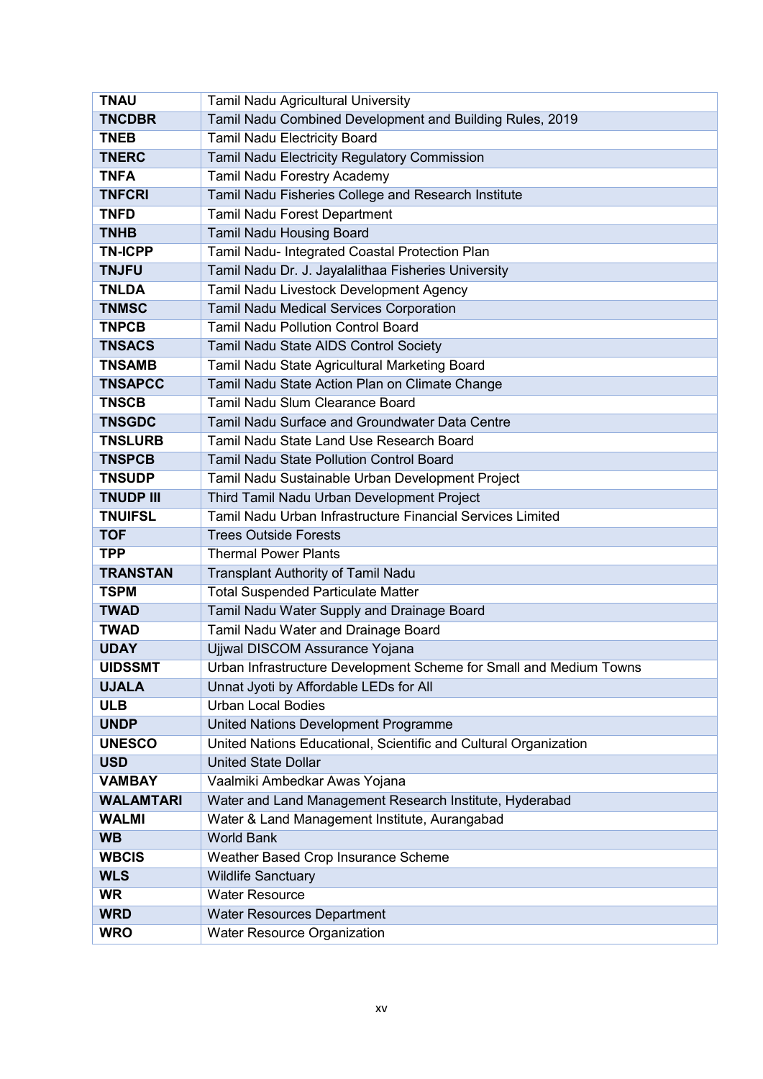| <b>TNAU</b>      | Tamil Nadu Agricultural University                                 |  |  |
|------------------|--------------------------------------------------------------------|--|--|
| <b>TNCDBR</b>    | Tamil Nadu Combined Development and Building Rules, 2019           |  |  |
| <b>TNEB</b>      | <b>Tamil Nadu Electricity Board</b>                                |  |  |
| <b>TNERC</b>     | Tamil Nadu Electricity Regulatory Commission                       |  |  |
| <b>TNFA</b>      | Tamil Nadu Forestry Academy                                        |  |  |
| <b>TNFCRI</b>    | Tamil Nadu Fisheries College and Research Institute                |  |  |
| <b>TNFD</b>      | Tamil Nadu Forest Department                                       |  |  |
| <b>TNHB</b>      | <b>Tamil Nadu Housing Board</b>                                    |  |  |
| <b>TN-ICPP</b>   | Tamil Nadu- Integrated Coastal Protection Plan                     |  |  |
| <b>TNJFU</b>     | Tamil Nadu Dr. J. Jayalalithaa Fisheries University                |  |  |
| <b>TNLDA</b>     | Tamil Nadu Livestock Development Agency                            |  |  |
| <b>TNMSC</b>     | <b>Tamil Nadu Medical Services Corporation</b>                     |  |  |
| <b>TNPCB</b>     | <b>Tamil Nadu Pollution Control Board</b>                          |  |  |
| <b>TNSACS</b>    | <b>Tamil Nadu State AIDS Control Society</b>                       |  |  |
| <b>TNSAMB</b>    | Tamil Nadu State Agricultural Marketing Board                      |  |  |
| <b>TNSAPCC</b>   | Tamil Nadu State Action Plan on Climate Change                     |  |  |
| <b>TNSCB</b>     | <b>Tamil Nadu Slum Clearance Board</b>                             |  |  |
| <b>TNSGDC</b>    | Tamil Nadu Surface and Groundwater Data Centre                     |  |  |
| <b>TNSLURB</b>   | Tamil Nadu State Land Use Research Board                           |  |  |
| <b>TNSPCB</b>    | <b>Tamil Nadu State Pollution Control Board</b>                    |  |  |
| <b>TNSUDP</b>    | Tamil Nadu Sustainable Urban Development Project                   |  |  |
| <b>TNUDP III</b> | Third Tamil Nadu Urban Development Project                         |  |  |
| <b>TNUIFSL</b>   | Tamil Nadu Urban Infrastructure Financial Services Limited         |  |  |
| <b>TOF</b>       | <b>Trees Outside Forests</b>                                       |  |  |
| <b>TPP</b>       | <b>Thermal Power Plants</b>                                        |  |  |
| <b>TRANSTAN</b>  | <b>Transplant Authority of Tamil Nadu</b>                          |  |  |
| <b>TSPM</b>      | <b>Total Suspended Particulate Matter</b>                          |  |  |
| <b>TWAD</b>      | Tamil Nadu Water Supply and Drainage Board                         |  |  |
| <b>TWAD</b>      | Tamil Nadu Water and Drainage Board                                |  |  |
| <b>UDAY</b>      | Ujjwal DISCOM Assurance Yojana                                     |  |  |
| <b>UIDSSMT</b>   | Urban Infrastructure Development Scheme for Small and Medium Towns |  |  |
| <b>UJALA</b>     | Unnat Jyoti by Affordable LEDs for All                             |  |  |
| <b>ULB</b>       | <b>Urban Local Bodies</b>                                          |  |  |
| <b>UNDP</b>      | United Nations Development Programme                               |  |  |
| <b>UNESCO</b>    | United Nations Educational, Scientific and Cultural Organization   |  |  |
| <b>USD</b>       | <b>United State Dollar</b>                                         |  |  |
| <b>VAMBAY</b>    | Vaalmiki Ambedkar Awas Yojana                                      |  |  |
| <b>WALAMTARI</b> | Water and Land Management Research Institute, Hyderabad            |  |  |
| <b>WALMI</b>     | Water & Land Management Institute, Aurangabad                      |  |  |
| <b>WB</b>        | <b>World Bank</b>                                                  |  |  |
| <b>WBCIS</b>     | Weather Based Crop Insurance Scheme                                |  |  |
| <b>WLS</b>       | <b>Wildlife Sanctuary</b>                                          |  |  |
| <b>WR</b>        | <b>Water Resource</b>                                              |  |  |
| <b>WRD</b>       | <b>Water Resources Department</b>                                  |  |  |
| <b>WRO</b>       | <b>Water Resource Organization</b>                                 |  |  |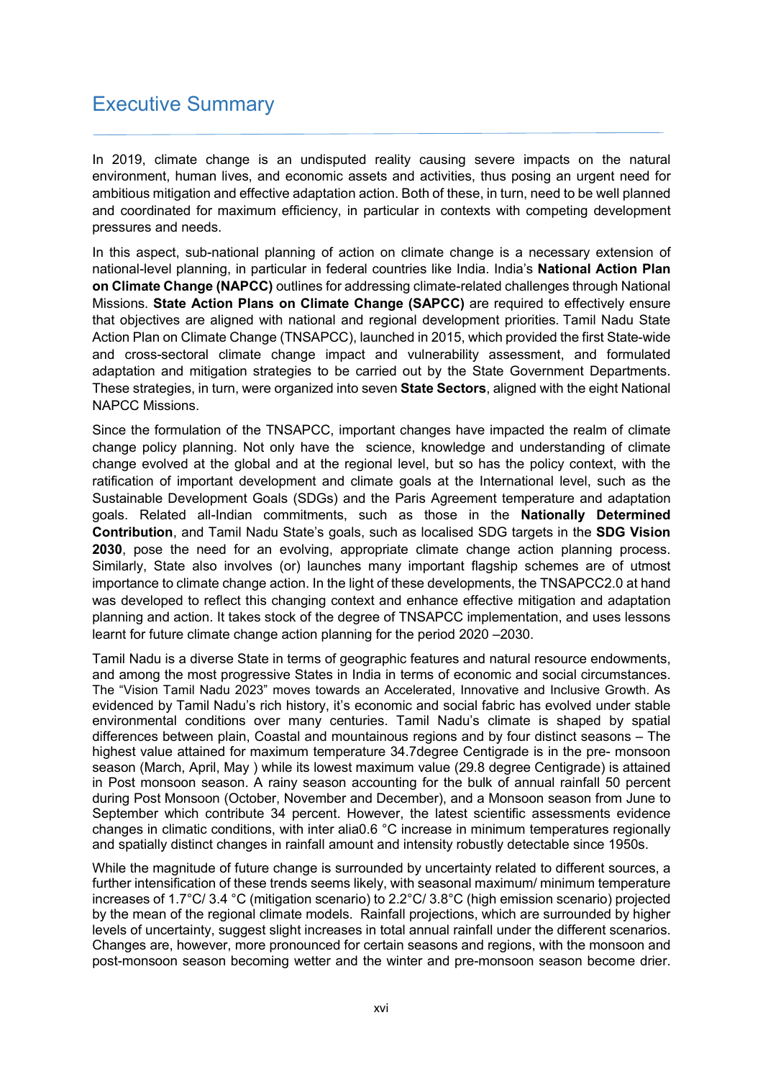## Executive Summary

In 2019, climate change is an undisputed reality causing severe impacts on the natural environment, human lives, and economic assets and activities, thus posing an urgent need for ambitious mitigation and effective adaptation action. Both of these, in turn, need to be well planned and coordinated for maximum efficiency, in particular in contexts with competing development pressures and needs.

In this aspect, sub-national planning of action on climate change is a necessary extension of national-level planning, in particular in federal countries like India. India's **National Action Plan on Climate Change (NAPCC)** outlines for addressing climate-related challenges through National Missions. **State Action Plans on Climate Change (SAPCC)** are required to effectively ensure that objectives are aligned with national and regional development priorities. Tamil Nadu State Action Plan on Climate Change (TNSAPCC), launched in 2015, which provided the first State-wide and cross-sectoral climate change impact and vulnerability assessment, and formulated adaptation and mitigation strategies to be carried out by the State Government Departments. These strategies, in turn, were organized into seven **State Sectors**, aligned with the eight National NAPCC Missions.

Since the formulation of the TNSAPCC, important changes have impacted the realm of climate change policy planning. Not only have the science, knowledge and understanding of climate change evolved at the global and at the regional level, but so has the policy context, with the ratification of important development and climate goals at the International level, such as the Sustainable Development Goals (SDGs) and the Paris Agreement temperature and adaptation goals. Related all-Indian commitments, such as those in the **Nationally Determined Contribution**, and Tamil Nadu State's goals, such as localised SDG targets in the **SDG Vision 2030**, pose the need for an evolving, appropriate climate change action planning process. Similarly, State also involves (or) launches many important flagship schemes are of utmost importance to climate change action. In the light of these developments, the TNSAPCC2.0 at hand was developed to reflect this changing context and enhance effective mitigation and adaptation planning and action. It takes stock of the degree of TNSAPCC implementation, and uses lessons learnt for future climate change action planning for the period 2020 –2030.

Tamil Nadu is a diverse State in terms of geographic features and natural resource endowments, and among the most progressive States in India in terms of economic and social circumstances. The "Vision Tamil Nadu 2023" moves towards an Accelerated, Innovative and Inclusive Growth. As evidenced by Tamil Nadu's rich history, it's economic and social fabric has evolved under stable environmental conditions over many centuries. Tamil Nadu's climate is shaped by spatial differences between plain, Coastal and mountainous regions and by four distinct seasons – The highest value attained for maximum temperature 34.7degree Centigrade is in the pre- monsoon season (March, April, May ) while its lowest maximum value (29.8 degree Centigrade) is attained in Post monsoon season. A rainy season accounting for the bulk of annual rainfall 50 percent during Post Monsoon (October, November and December), and a Monsoon season from June to September which contribute 34 percent. However, the latest scientific assessments evidence changes in climatic conditions, with inter alia0.6 °C increase in minimum temperatures regionally and spatially distinct changes in rainfall amount and intensity robustly detectable since 1950s.

While the magnitude of future change is surrounded by uncertainty related to different sources, a further intensification of these trends seems likely, with seasonal maximum/ minimum temperature increases of 1.7°C/ 3.4 °C (mitigation scenario) to 2.2°C/ 3.8°C (high emission scenario) projected by the mean of the regional climate models. Rainfall projections, which are surrounded by higher levels of uncertainty, suggest slight increases in total annual rainfall under the different scenarios. Changes are, however, more pronounced for certain seasons and regions, with the monsoon and post-monsoon season becoming wetter and the winter and pre-monsoon season become drier.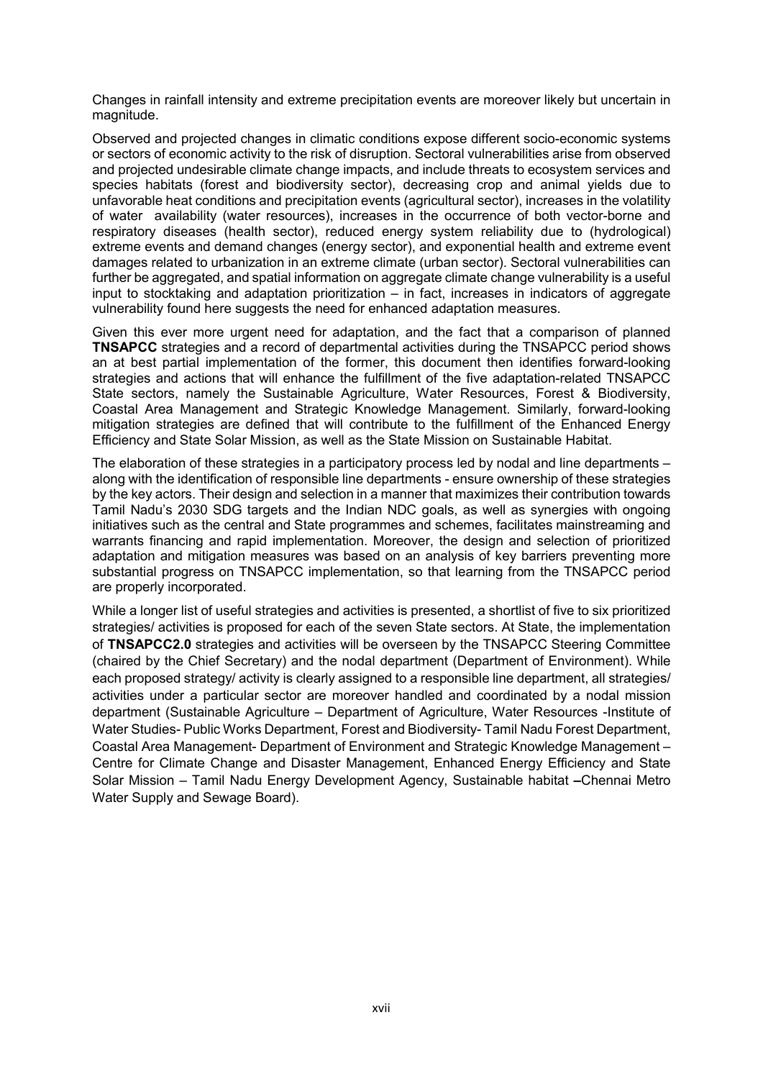Changes in rainfall intensity and extreme precipitation events are moreover likely but uncertain in magnitude.

Observed and projected changes in climatic conditions expose different socio-economic systems or sectors of economic activity to the risk of disruption. Sectoral vulnerabilities arise from observed and projected undesirable climate change impacts, and include threats to ecosystem services and species habitats (forest and biodiversity sector), decreasing crop and animal yields due to unfavorable heat conditions and precipitation events (agricultural sector), increases in the volatility of water availability (water resources), increases in the occurrence of both vector-borne and respiratory diseases (health sector), reduced energy system reliability due to (hydrological) extreme events and demand changes (energy sector), and exponential health and extreme event damages related to urbanization in an extreme climate (urban sector). Sectoral vulnerabilities can further be aggregated, and spatial information on aggregate climate change vulnerability is a useful input to stocktaking and adaptation prioritization – in fact, increases in indicators of aggregate vulnerability found here suggests the need for enhanced adaptation measures.

Given this ever more urgent need for adaptation, and the fact that a comparison of planned **TNSAPCC** strategies and a record of departmental activities during the TNSAPCC period shows an at best partial implementation of the former, this document then identifies forward-looking strategies and actions that will enhance the fulfillment of the five adaptation-related TNSAPCC State sectors, namely the Sustainable Agriculture, Water Resources, Forest & Biodiversity, Coastal Area Management and Strategic Knowledge Management. Similarly, forward-looking mitigation strategies are defined that will contribute to the fulfillment of the Enhanced Energy Efficiency and State Solar Mission, as well as the State Mission on Sustainable Habitat.

The elaboration of these strategies in a participatory process led by nodal and line departments – along with the identification of responsible line departments - ensure ownership of these strategies by the key actors. Their design and selection in a manner that maximizes their contribution towards Tamil Nadu's 2030 SDG targets and the Indian NDC goals, as well as synergies with ongoing initiatives such as the central and State programmes and schemes, facilitates mainstreaming and warrants financing and rapid implementation. Moreover, the design and selection of prioritized adaptation and mitigation measures was based on an analysis of key barriers preventing more substantial progress on TNSAPCC implementation, so that learning from the TNSAPCC period are properly incorporated.

While a longer list of useful strategies and activities is presented, a shortlist of five to six prioritized strategies/ activities is proposed for each of the seven State sectors. At State, the implementation of **TNSAPCC2.0** strategies and activities will be overseen by the TNSAPCC Steering Committee (chaired by the Chief Secretary) and the nodal department (Department of Environment). While each proposed strategy/ activity is clearly assigned to a responsible line department, all strategies/ activities under a particular sector are moreover handled and coordinated by a nodal mission department (Sustainable Agriculture – Department of Agriculture, Water Resources -Institute of Water Studies- Public Works Department, Forest and Biodiversity- Tamil Nadu Forest Department, Coastal Area Management- Department of Environment and Strategic Knowledge Management – Centre for Climate Change and Disaster Management, Enhanced Energy Efficiency and State Solar Mission – Tamil Nadu Energy Development Agency, Sustainable habitat **–**Chennai Metro Water Supply and Sewage Board).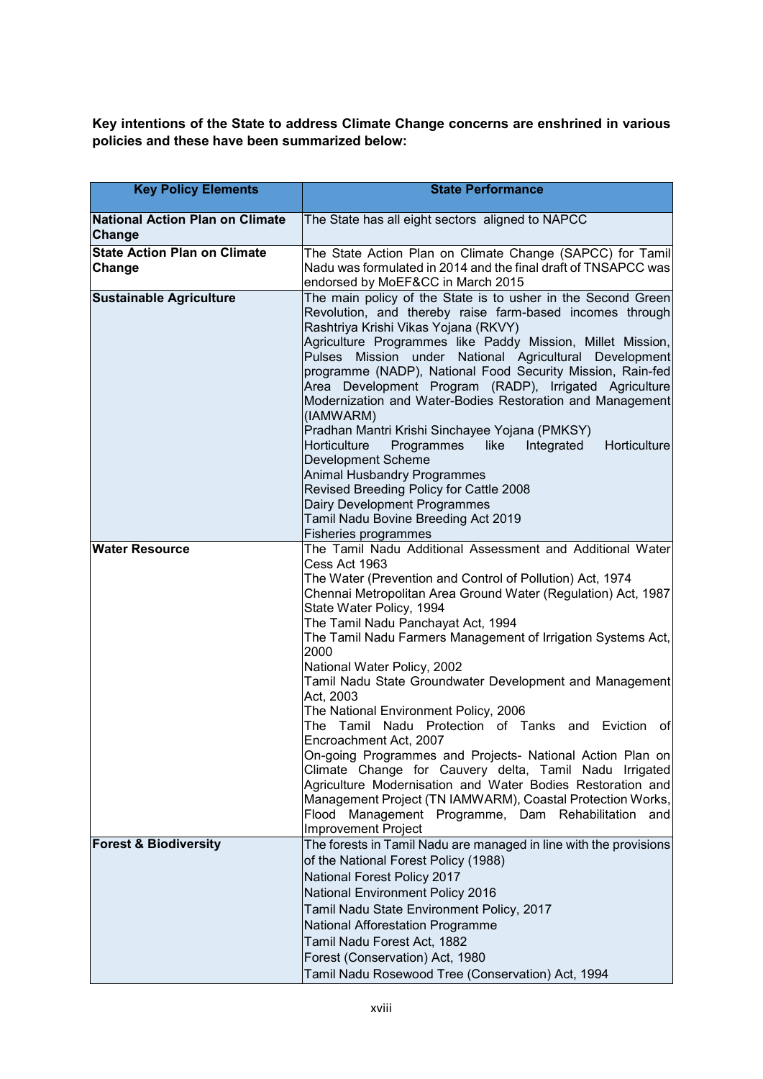**Key intentions of the State to address Climate Change concerns are enshrined in various policies and these have been summarized below:**

| <b>Key Policy Elements</b>                                | <b>State Performance</b>                                                                                                                                                                                                                                                                                                                                                                                                                                                                                                                                                                                                                                                                                                                                                                                                                                                                                                                                                                |  |  |
|-----------------------------------------------------------|-----------------------------------------------------------------------------------------------------------------------------------------------------------------------------------------------------------------------------------------------------------------------------------------------------------------------------------------------------------------------------------------------------------------------------------------------------------------------------------------------------------------------------------------------------------------------------------------------------------------------------------------------------------------------------------------------------------------------------------------------------------------------------------------------------------------------------------------------------------------------------------------------------------------------------------------------------------------------------------------|--|--|
| <b>National Action Plan on Climate</b><br>Change          | The State has all eight sectors aligned to NAPCC                                                                                                                                                                                                                                                                                                                                                                                                                                                                                                                                                                                                                                                                                                                                                                                                                                                                                                                                        |  |  |
| <b>State Action Plan on Climate</b><br>Change             | The State Action Plan on Climate Change (SAPCC) for Tamil<br>Nadu was formulated in 2014 and the final draft of TNSAPCC was<br>endorsed by MoEF&CC in March 2015                                                                                                                                                                                                                                                                                                                                                                                                                                                                                                                                                                                                                                                                                                                                                                                                                        |  |  |
| <b>Sustainable Agriculture</b>                            | The main policy of the State is to usher in the Second Green<br>Revolution, and thereby raise farm-based incomes through<br>Rashtriya Krishi Vikas Yojana (RKVY)<br>Agriculture Programmes like Paddy Mission, Millet Mission,<br>Pulses Mission under National Agricultural Development<br>programme (NADP), National Food Security Mission, Rain-fed<br>Area Development Program (RADP), Irrigated Agriculture<br>Modernization and Water-Bodies Restoration and Management<br>(IAMWARM)<br>Pradhan Mantri Krishi Sinchayee Yojana (PMKSY)<br>Horticulture<br>Horticulture<br>Programmes like<br>Integrated<br><b>Development Scheme</b><br>Animal Husbandry Programmes<br>Revised Breeding Policy for Cattle 2008<br>Dairy Development Programmes                                                                                                                                                                                                                                    |  |  |
|                                                           | Tamil Nadu Bovine Breeding Act 2019<br>Fisheries programmes                                                                                                                                                                                                                                                                                                                                                                                                                                                                                                                                                                                                                                                                                                                                                                                                                                                                                                                             |  |  |
| <b>Water Resource</b><br><b>Forest &amp; Biodiversity</b> | The Tamil Nadu Additional Assessment and Additional Water<br>Cess Act 1963<br>The Water (Prevention and Control of Pollution) Act, 1974<br>Chennai Metropolitan Area Ground Water (Regulation) Act, 1987<br>State Water Policy, 1994<br>The Tamil Nadu Panchayat Act, 1994<br>The Tamil Nadu Farmers Management of Irrigation Systems Act,<br>2000<br>National Water Policy, 2002<br>Tamil Nadu State Groundwater Development and Management<br>Act, 2003<br>The National Environment Policy, 2006<br>The Tamil Nadu Protection of Tanks and Eviction of<br>Encroachment Act, 2007<br>On-going Programmes and Projects- National Action Plan on<br>Climate Change for Cauvery delta, Tamil Nadu Irrigated<br>Agriculture Modernisation and Water Bodies Restoration and<br>Management Project (TN IAMWARM), Coastal Protection Works,<br>Flood Management Programme, Dam Rehabilitation and<br>Improvement Project<br>The forests in Tamil Nadu are managed in line with the provisions |  |  |
|                                                           | of the National Forest Policy (1988)<br>National Forest Policy 2017<br>National Environment Policy 2016<br>Tamil Nadu State Environment Policy, 2017<br>National Afforestation Programme<br>Tamil Nadu Forest Act, 1882<br>Forest (Conservation) Act, 1980<br>Tamil Nadu Rosewood Tree (Conservation) Act, 1994                                                                                                                                                                                                                                                                                                                                                                                                                                                                                                                                                                                                                                                                         |  |  |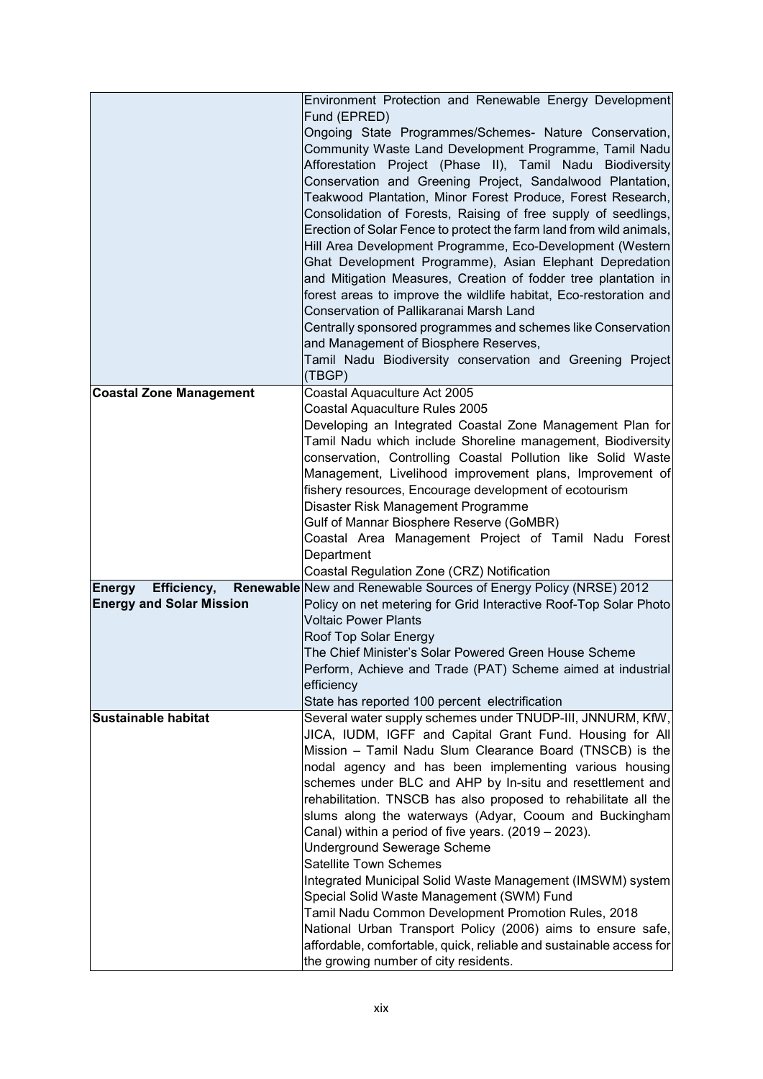|                                 | Environment Protection and Renewable Energy Development                                                                  |  |  |
|---------------------------------|--------------------------------------------------------------------------------------------------------------------------|--|--|
|                                 | Fund (EPRED)                                                                                                             |  |  |
|                                 | Ongoing State Programmes/Schemes- Nature Conservation,                                                                   |  |  |
|                                 | Community Waste Land Development Programme, Tamil Nadu                                                                   |  |  |
|                                 | Afforestation Project (Phase II), Tamil Nadu Biodiversity                                                                |  |  |
|                                 | Conservation and Greening Project, Sandalwood Plantation,<br>Teakwood Plantation, Minor Forest Produce, Forest Research, |  |  |
|                                 | Consolidation of Forests, Raising of free supply of seedlings,                                                           |  |  |
|                                 | Erection of Solar Fence to protect the farm land from wild animals,                                                      |  |  |
|                                 | Hill Area Development Programme, Eco-Development (Western                                                                |  |  |
|                                 | Ghat Development Programme), Asian Elephant Depredation                                                                  |  |  |
|                                 |                                                                                                                          |  |  |
|                                 | and Mitigation Measures, Creation of fodder tree plantation in                                                           |  |  |
|                                 | forest areas to improve the wildlife habitat, Eco-restoration and                                                        |  |  |
|                                 | Conservation of Pallikaranai Marsh Land                                                                                  |  |  |
|                                 | Centrally sponsored programmes and schemes like Conservation                                                             |  |  |
|                                 | and Management of Biosphere Reserves,                                                                                    |  |  |
|                                 | Tamil Nadu Biodiversity conservation and Greening Project                                                                |  |  |
|                                 | (TBGP)                                                                                                                   |  |  |
| <b>Coastal Zone Management</b>  | Coastal Aquaculture Act 2005                                                                                             |  |  |
|                                 | Coastal Aquaculture Rules 2005                                                                                           |  |  |
|                                 | Developing an Integrated Coastal Zone Management Plan for                                                                |  |  |
|                                 | Tamil Nadu which include Shoreline management, Biodiversity                                                              |  |  |
|                                 | conservation, Controlling Coastal Pollution like Solid Waste                                                             |  |  |
|                                 | Management, Livelihood improvement plans, Improvement of                                                                 |  |  |
|                                 | fishery resources, Encourage development of ecotourism                                                                   |  |  |
|                                 | Disaster Risk Management Programme                                                                                       |  |  |
|                                 | Gulf of Mannar Biosphere Reserve (GoMBR)                                                                                 |  |  |
|                                 | Coastal Area Management Project of Tamil Nadu Forest                                                                     |  |  |
|                                 | Department                                                                                                               |  |  |
|                                 | Coastal Regulation Zone (CRZ) Notification                                                                               |  |  |
| Efficiency,<br>Energy           | Renewable New and Renewable Sources of Energy Policy (NRSE) 2012                                                         |  |  |
| <b>Energy and Solar Mission</b> | Policy on net metering for Grid Interactive Roof-Top Solar Photo                                                         |  |  |
|                                 | <b>Voltaic Power Plants</b>                                                                                              |  |  |
|                                 | Roof Top Solar Energy                                                                                                    |  |  |
|                                 | The Chief Minister's Solar Powered Green House Scheme                                                                    |  |  |
|                                 | Perform, Achieve and Trade (PAT) Scheme aimed at industrial                                                              |  |  |
|                                 | efficiency                                                                                                               |  |  |
|                                 | State has reported 100 percent electrification                                                                           |  |  |
| <b>Sustainable habitat</b>      | Several water supply schemes under TNUDP-III, JNNURM, KfW,                                                               |  |  |
|                                 | JICA, IUDM, IGFF and Capital Grant Fund. Housing for All                                                                 |  |  |
|                                 | Mission - Tamil Nadu Slum Clearance Board (TNSCB) is the                                                                 |  |  |
|                                 | nodal agency and has been implementing various housing                                                                   |  |  |
|                                 | schemes under BLC and AHP by In-situ and resettlement and                                                                |  |  |
|                                 | rehabilitation. TNSCB has also proposed to rehabilitate all the                                                          |  |  |
|                                 | slums along the waterways (Adyar, Cooum and Buckingham                                                                   |  |  |
|                                 | Canal) within a period of five years. (2019 - 2023).                                                                     |  |  |
|                                 | <b>Underground Sewerage Scheme</b><br><b>Satellite Town Schemes</b>                                                      |  |  |
|                                 |                                                                                                                          |  |  |
|                                 | Integrated Municipal Solid Waste Management (IMSWM) system                                                               |  |  |
|                                 | Special Solid Waste Management (SWM) Fund<br>Tamil Nadu Common Development Promotion Rules, 2018                         |  |  |
|                                 | National Urban Transport Policy (2006) aims to ensure safe,                                                              |  |  |
|                                 | affordable, comfortable, quick, reliable and sustainable access for                                                      |  |  |
|                                 | the growing number of city residents.                                                                                    |  |  |
|                                 |                                                                                                                          |  |  |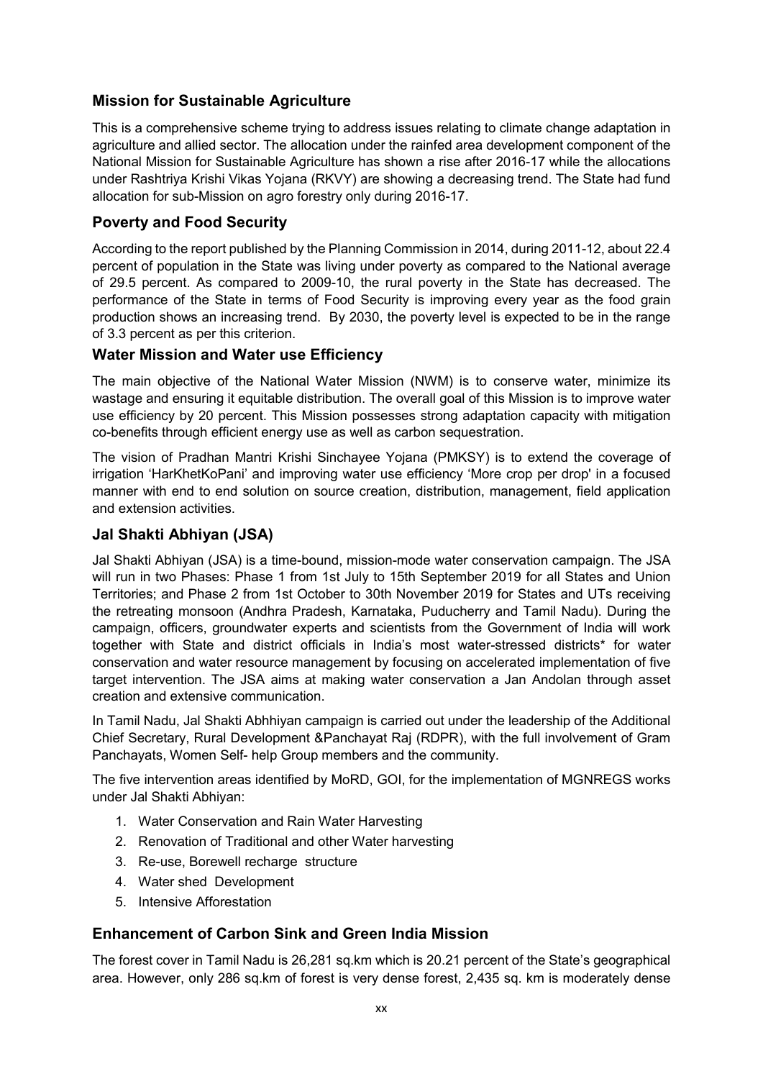## **Mission for Sustainable Agriculture**

This is a comprehensive scheme trying to address issues relating to climate change adaptation in agriculture and allied sector. The allocation under the rainfed area development component of the National Mission for Sustainable Agriculture has shown a rise after 2016-17 while the allocations under Rashtriya Krishi Vikas Yojana (RKVY) are showing a decreasing trend. The State had fund allocation for sub-Mission on agro forestry only during 2016-17.

## **Poverty and Food Security**

According to the report published by the Planning Commission in 2014, during 2011-12, about 22.4 percent of population in the State was living under poverty as compared to the National average of 29.5 percent. As compared to 2009-10, the rural poverty in the State has decreased. The performance of the State in terms of Food Security is improving every year as the food grain production shows an increasing trend. By 2030, the poverty level is expected to be in the range of 3.3 percent as per this criterion.

### **Water Mission and Water use Efficiency**

The main objective of the National Water Mission (NWM) is to conserve water, minimize its wastage and ensuring it equitable distribution. The overall goal of this Mission is to improve water use efficiency by 20 percent. This Mission possesses strong adaptation capacity with mitigation co-benefits through efficient energy use as well as carbon sequestration.

The vision of Pradhan Mantri Krishi Sinchayee Yojana (PMKSY) is to extend the coverage of irrigation 'HarKhetKoPani' and improving water use efficiency 'More crop per drop' in a focused manner with end to end solution on source creation, distribution, management, field application and extension activities.

### **Jal Shakti Abhiyan (JSA)**

Jal Shakti Abhiyan (JSA) is a time-bound, mission-mode water conservation campaign. The JSA will run in two Phases: Phase 1 from 1st July to 15th September 2019 for all States and Union Territories; and Phase 2 from 1st October to 30th November 2019 for States and UTs receiving the retreating monsoon (Andhra Pradesh, Karnataka, Puducherry and Tamil Nadu). During the campaign, officers, groundwater experts and scientists from the Government of India will work together with State and district officials in India's most water-stressed districts\* for water conservation and water resource management by focusing on accelerated implementation of five target intervention. The JSA aims at making water conservation a Jan Andolan through asset creation and extensive communication.

In Tamil Nadu, Jal Shakti Abhhiyan campaign is carried out under the leadership of the Additional Chief Secretary, Rural Development &Panchayat Raj (RDPR), with the full involvement of Gram Panchayats, Women Self- help Group members and the community.

The five intervention areas identified by MoRD, GOI, for the implementation of MGNREGS works under Jal Shakti Abhiyan:

- 1. Water Conservation and Rain Water Harvesting
- 2. Renovation of Traditional and other Water harvesting
- 3. Re-use, Borewell recharge structure
- 4. Water shed Development
- 5. Intensive Afforestation

### **Enhancement of Carbon Sink and Green India Mission**

The forest cover in Tamil Nadu is 26,281 sq.km which is 20.21 percent of the State's geographical area. However, only 286 sq.km of forest is very dense forest, 2,435 sq. km is moderately dense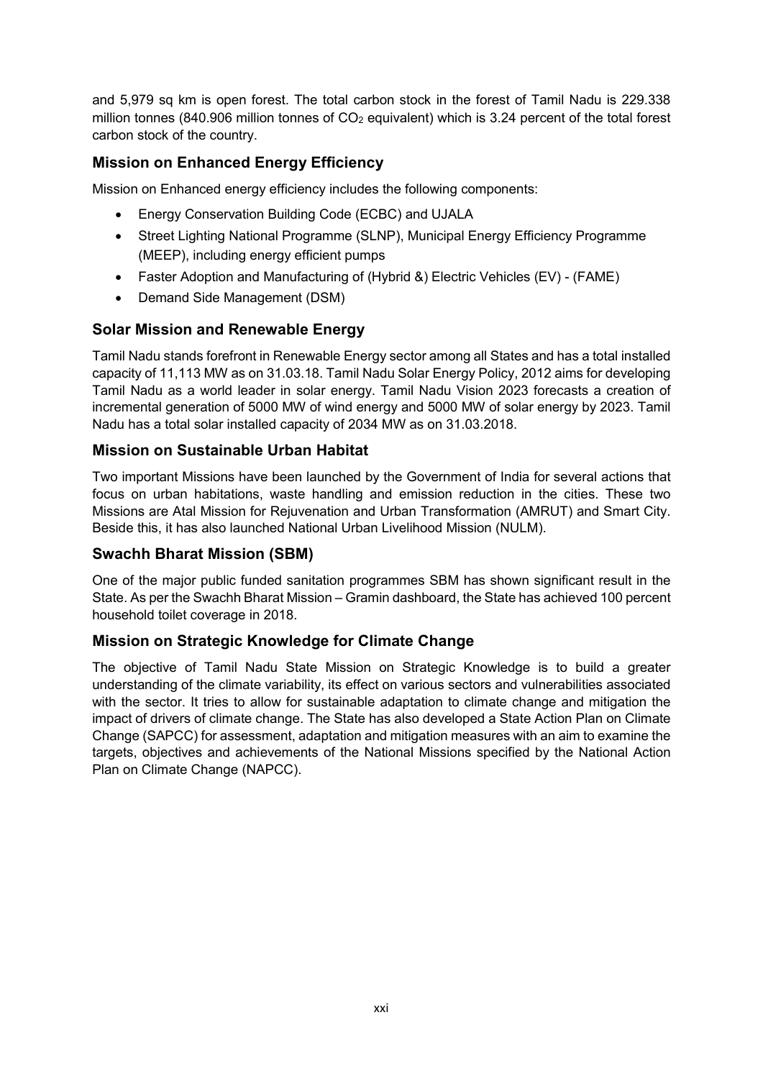and 5,979 sq km is open forest. The total carbon stock in the forest of Tamil Nadu is 229.338 million tonnes (840.906 million tonnes of  $CO<sub>2</sub>$  equivalent) which is 3.24 percent of the total forest carbon stock of the country.

## **Mission on Enhanced Energy Efficiency**

Mission on Enhanced energy efficiency includes the following components:

- Energy Conservation Building Code (ECBC) and UJALA
- Street Lighting National Programme (SLNP), Municipal Energy Efficiency Programme (MEEP), including energy efficient pumps
- Faster Adoption and Manufacturing of (Hybrid &) Electric Vehicles (EV) (FAME)
- Demand Side Management (DSM)

## **Solar Mission and Renewable Energy**

Tamil Nadu stands forefront in Renewable Energy sector among all States and has a total installed capacity of 11,113 MW as on 31.03.18. Tamil Nadu Solar Energy Policy, 2012 aims for developing Tamil Nadu as a world leader in solar energy. Tamil Nadu Vision 2023 forecasts a creation of incremental generation of 5000 MW of wind energy and 5000 MW of solar energy by 2023. Tamil Nadu has a total solar installed capacity of 2034 MW as on 31.03.2018.

### **Mission on Sustainable Urban Habitat**

Two important Missions have been launched by the Government of India for several actions that focus on urban habitations, waste handling and emission reduction in the cities. These two Missions are Atal Mission for Rejuvenation and Urban Transformation (AMRUT) and Smart City. Beside this, it has also launched National Urban Livelihood Mission (NULM).

### **Swachh Bharat Mission (SBM)**

One of the major public funded sanitation programmes SBM has shown significant result in the State. As per the Swachh Bharat Mission – Gramin dashboard, the State has achieved 100 percent household toilet coverage in 2018.

### **Mission on Strategic Knowledge for Climate Change**

The objective of Tamil Nadu State Mission on Strategic Knowledge is to build a greater understanding of the climate variability, its effect on various sectors and vulnerabilities associated with the sector. It tries to allow for sustainable adaptation to climate change and mitigation the impact of drivers of climate change. The State has also developed a State Action Plan on Climate Change (SAPCC) for assessment, adaptation and mitigation measures with an aim to examine the targets, objectives and achievements of the National Missions specified by the National Action Plan on Climate Change (NAPCC).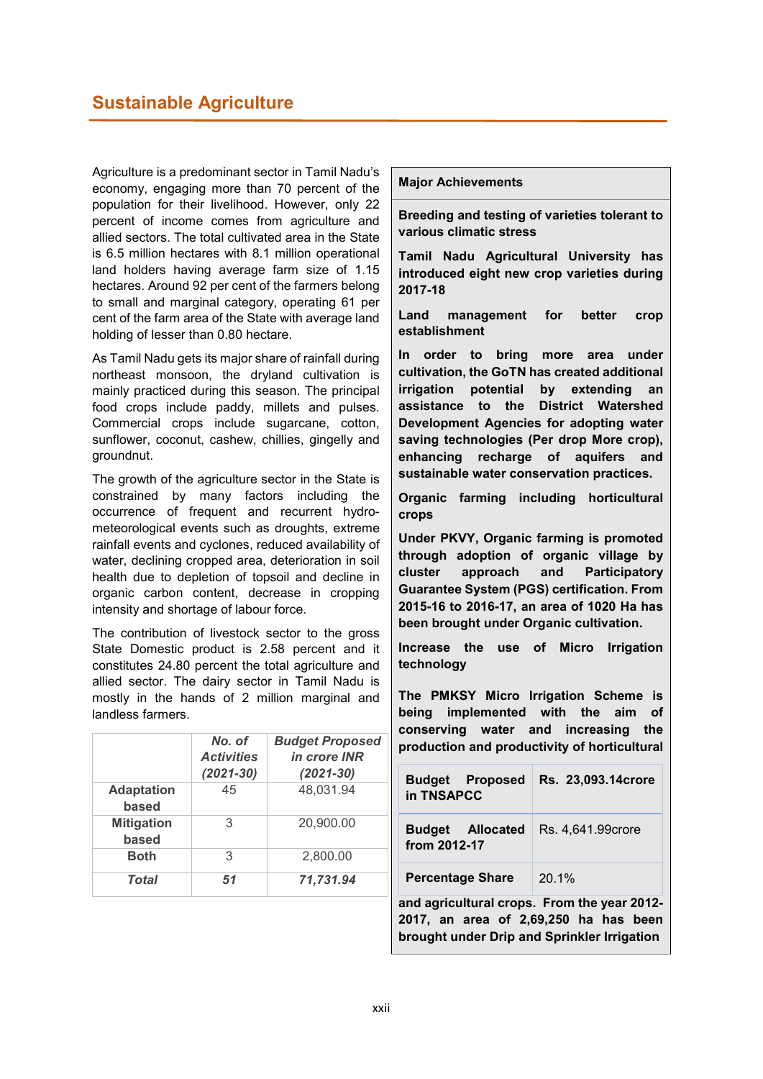Agriculture is a predominant sector in Tamil Nadu's economy, engaging more than 70 percent of the population for their livelihood. However, only 22 percent of income comes from agriculture and allied sectors. The total cultivated area in the State is 6.5 million hectares with 8.1 million operational land holders having average farm size of 1.15 hectares. Around 92 per cent of the farmers belong to small and marginal category, operating 61 per cent of the farm area of the State with average land holding of lesser than 0.80 hectare.

As Tamil Nadu gets its major share of rainfall during northeast monsoon, the dryland cultivation is mainly practiced during this season. The principal food crops include paddy, millets and pulses. Commercial crops include sugarcane, cotton, sunflower, coconut, cashew, chillies, gingelly and groundnut.

The growth of the agriculture sector in the State is constrained by many factors including the occurrence of frequent and recurrent hydrometeorological events such as droughts, extreme rainfall events and cyclones, reduced availability of water, declining cropped area, deterioration in soil health due to depletion of topsoil and decline in organic carbon content, decrease in cropping intensity and shortage of labour force.

The contribution of livestock sector to the gross State Domestic product is 2.58 percent and it constitutes 24.80 percent the total agriculture and allied sector. The dairy sector in Tamil Nadu is mostly in the hands of 2 million marginal and landless farmers.

|                            | No. of<br><b>Activities</b><br>$(2021 - 30)$ | <b>Budget Proposed</b><br>in crore INR<br>$(2021 - 30)$ |
|----------------------------|----------------------------------------------|---------------------------------------------------------|
| <b>Adaptation</b><br>based | 45                                           | 48,031.94                                               |
| <b>Mitigation</b><br>based | 3                                            | 20.900.00                                               |
| <b>Both</b>                | 3                                            | 2,800.00                                                |
| <b>Total</b>               | 51                                           | 71,731.94                                               |

#### **Major Achievements**

**Breeding and testing of varieties tolerant to various climatic stress**

**Tamil Nadu Agricultural University has introduced eight new crop varieties during 2017-18**

**Land management for better crop establishment**

**In order to bring more area under cultivation, the GoTN has created additional irrigation potential by extending an assistance to the District Watershed Development Agencies for adopting water saving technologies (Per drop More crop), enhancing recharge of aquifers and sustainable water conservation practices.**

**Organic farming including horticultural crops**

**Under PKVY, Organic farming is promoted through adoption of organic village by cluster approach and Participatory Guarantee System (PGS) certification. From 2015-16 to 2016-17, an area of 1020 Ha has been brought under Organic cultivation.**

**Increase the use of Micro Irrigation technology**

**The PMKSY Micro Irrigation Scheme is being implemented with the aim of conserving water and increasing the production and productivity of horticultural** 

| <b>Budget Proposed</b><br>in TNSAPCC        | Rs. 23,093.14crore |  |
|---------------------------------------------|--------------------|--|
| <b>Budget Allocated</b><br>from 2012-17     | Rs. 4.641.99crore  |  |
| <b>Percentage Share</b>                     | $20.1\%$           |  |
| and agricultural crops. From the year 2012- |                    |  |

**2017, an area of 2,69,250 ha has been brought under Drip and Sprinkler Irrigation**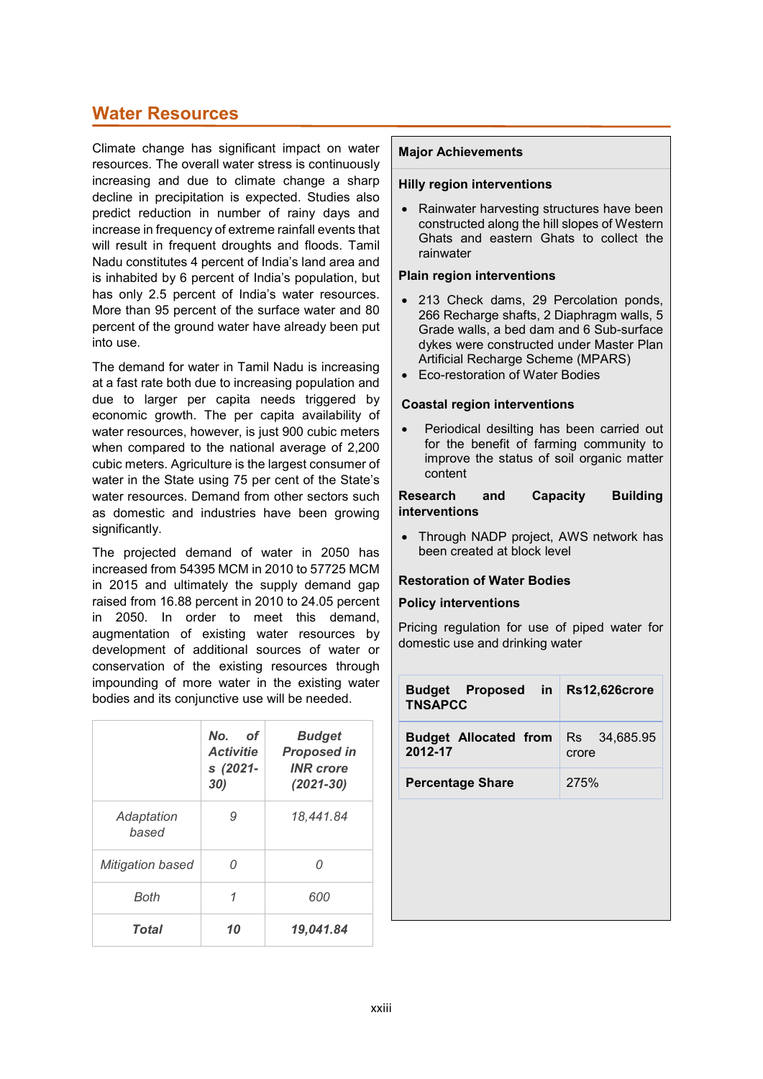## **Water Resources**

Climate change has significant impact on water resources. The overall water stress is continuously increasing and due to climate change a sharp decline in precipitation is expected. Studies also predict reduction in number of rainy days and increase in frequency of extreme rainfall events that will result in frequent droughts and floods. Tamil Nadu constitutes 4 percent of India's land area and is inhabited by 6 percent of India's population, but has only 2.5 percent of India's water resources. More than 95 percent of the surface water and 80 percent of the ground water have already been put into use.

The demand for water in Tamil Nadu is increasing at a fast rate both due to increasing population and due to larger per capita needs triggered by economic growth. The per capita availability of water resources, however, is just 900 cubic meters when compared to the national average of 2,200 cubic meters. Agriculture is the largest consumer of water in the State using 75 per cent of the State's water resources. Demand from other sectors such as domestic and industries have been growing significantly.

The projected demand of water in 2050 has increased from 54395 MCM in 2010 to 57725 MCM in 2015 and ultimately the supply demand gap raised from 16.88 percent in 2010 to 24.05 percent in 2050. In order to meet this demand, augmentation of existing water resources by development of additional sources of water or conservation of the existing resources through impounding of more water in the existing water bodies and its conjunctive use will be needed.

|                         | No.<br>of<br><b>Activitie</b><br>s (2021-<br>30) | <b>Budget</b><br><b>Proposed in</b><br><b>INR</b> crore<br>$(2021 - 30)$ |
|-------------------------|--------------------------------------------------|--------------------------------------------------------------------------|
| Adaptation<br>based     | 9                                                | 18,441.84                                                                |
| <b>Mitigation based</b> | N                                                | Ω                                                                        |
| Both                    | 1                                                | 600                                                                      |
| <b>Total</b>            | 10                                               | 19,041.84                                                                |

#### **Major Achievements**

#### **Hilly region interventions**

• Rainwater harvesting structures have been constructed along the hill slopes of Western Ghats and eastern Ghats to collect the rainwater

#### **Plain region interventions**

- 213 Check dams, 29 Percolation ponds, 266 Recharge shafts, 2 Diaphragm walls, 5 Grade walls, a bed dam and 6 Sub-surface dykes were constructed under Master Plan Artificial Recharge Scheme (MPARS)
- Eco-restoration of Water Bodies

#### **Coastal region interventions**

 Periodical desilting has been carried out for the benefit of farming community to improve the status of soil organic matter content

#### **Research and Capacity Building interventions**

• Through NADP project, AWS network has been created at block level

#### **Restoration of Water Bodies**

#### **Policy interventions**

Pricing regulation for use of piped water for domestic use and drinking water

| Budget Proposed in<br><b>TNSAPCC</b> | Rs12,626crore         |
|--------------------------------------|-----------------------|
| Budget Allocated from<br>2012-17     | Rs 34,685.95<br>crore |
| <b>Percentage Share</b>              | 275%                  |
|                                      |                       |
|                                      |                       |
|                                      |                       |
|                                      |                       |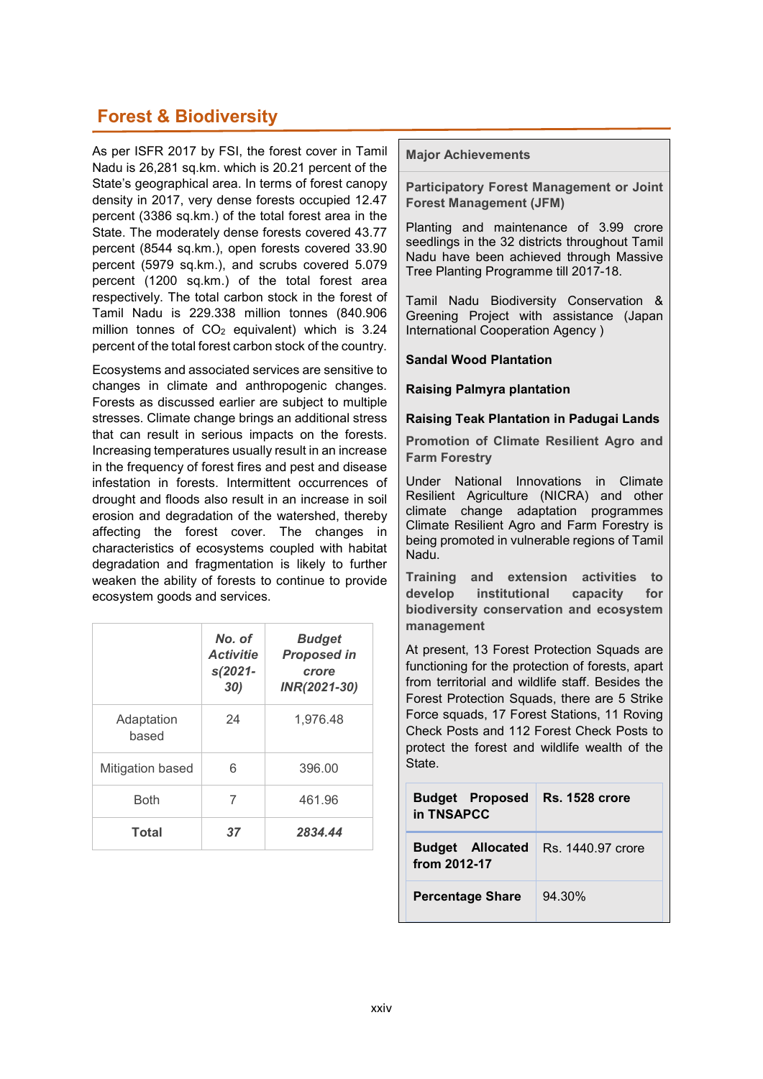## **Forest & Biodiversity**

As per ISFR 2017 by FSI, the forest cover in Tamil Nadu is 26,281 sq.km. which is 20.21 percent of the State's geographical area. In terms of forest canopy density in 2017, very dense forests occupied 12.47 percent (3386 sq.km.) of the total forest area in the State. The moderately dense forests covered 43.77 percent (8544 sq.km.), open forests covered 33.90 percent (5979 sq.km.), and scrubs covered 5.079 percent (1200 sq.km.) of the total forest area respectively. The total carbon stock in the forest of Tamil Nadu is 229.338 million tonnes (840.906 million tonnes of  $CO<sub>2</sub>$  equivalent) which is 3.24 percent of the total forest carbon stock of the country.

Ecosystems and associated services are sensitive to changes in climate and anthropogenic changes. Forests as discussed earlier are subject to multiple stresses. Climate change brings an additional stress that can result in serious impacts on the forests. Increasing temperatures usually result in an increase in the frequency of forest fires and pest and disease infestation in forests. Intermittent occurrences of drought and floods also result in an increase in soil erosion and degradation of the watershed, thereby affecting the forest cover. The changes in characteristics of ecosystems coupled with habitat degradation and fragmentation is likely to further weaken the ability of forests to continue to provide ecosystem goods and services.

|                     | No. of<br><b>Activitie</b><br>$s(2021 -$<br>30) | <b>Budget</b><br><b>Proposed in</b><br>crore<br><b>INR(2021-30)</b> |
|---------------------|-------------------------------------------------|---------------------------------------------------------------------|
| Adaptation<br>based | 24                                              | 1,976.48                                                            |
| Mitigation based    | 6                                               | 396.00                                                              |
| <b>Both</b>         | 7                                               | 461.96                                                              |
| <b>Total</b>        | 37                                              | 2834.44                                                             |

#### **Major Achievements**

**Participatory Forest Management or Joint Forest Management (JFM)**

Planting and maintenance of 3.99 crore seedlings in the 32 districts throughout Tamil Nadu have been achieved through Massive Tree Planting Programme till 2017-18.

Tamil Nadu Biodiversity Conservation & Greening Project with assistance (Japan International Cooperation Agency )

#### **Sandal Wood Plantation**

#### **Raising Palmyra plantation**

#### **Raising Teak Plantation in Padugai Lands**

**Promotion of Climate Resilient Agro and Farm Forestry**

Under National Innovations in Climate Resilient Agriculture (NICRA) and other climate change adaptation programmes Climate Resilient Agro and Farm Forestry is being promoted in vulnerable regions of Tamil Nadu.

**Training and extension activities to develop institutional capacity for biodiversity conservation and ecosystem management**

At present, 13 Forest Protection Squads are functioning for the protection of forests, apart from territorial and wildlife staff. Besides the Forest Protection Squads, there are 5 Strike Force squads, 17 Forest Stations, 11 Roving Check Posts and 112 Forest Check Posts to protect the forest and wildlife wealth of the State.

| <b>Budget Proposed</b><br>in TNSAPCC    | <b>Rs. 1528 crore</b> |
|-----------------------------------------|-----------------------|
| <b>Budget Allocated</b><br>from 2012-17 | Rs. 1440.97 crore     |
| <b>Percentage Share</b>                 | 94.30%                |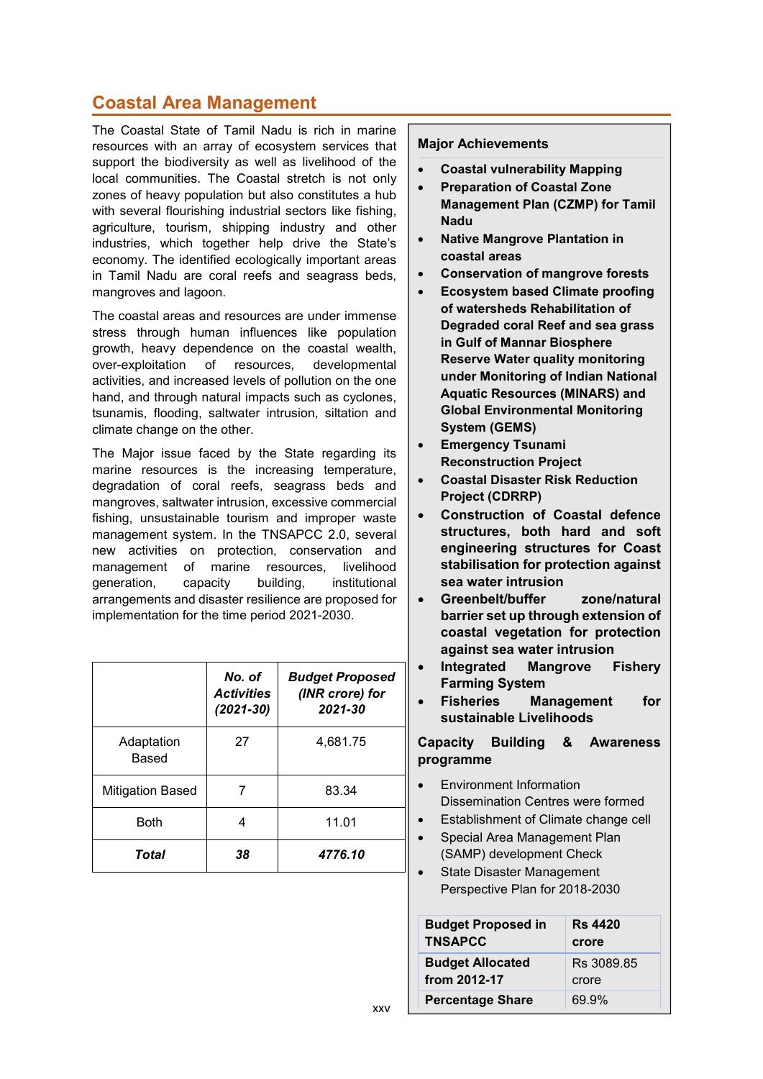## **Coastal Area Management**

The Coastal State of Tamil Nadu is rich in marine resources with an array of ecosystem services that support the biodiversity as well as livelihood of the local communities. The Coastal stretch is not only zones of heavy population but also constitutes a hub with several flourishing industrial sectors like fishing, agriculture, tourism, shipping industry and other industries, which together help drive the State's economy. The identified ecologically important areas in Tamil Nadu are coral reefs and seagrass beds, mangroves and lagoon.

The coastal areas and resources are under immense stress through human influences like population growth, heavy dependence on the coastal wealth, over-exploitation of resources, developmental activities, and increased levels of pollution on the one hand, and through natural impacts such as cyclones, tsunamis, flooding, saltwater intrusion, siltation and climate change on the other.

The Major issue faced by the State regarding its marine resources is the increasing temperature, degradation of coral reefs, seagrass beds and mangroves, saltwater intrusion, excessive commercial fishing, unsustainable tourism and improper waste management system. In the TNSAPCC 2.0, several new activities on protection, conservation and management of marine resources, livelihood generation, capacity building, institutional arrangements and disaster resilience are proposed for implementation for the time period 2021-2030.

|                         | No. of<br><b>Activities</b><br>$(2021 - 30)$ | <b>Budget Proposed</b><br>(INR crore) for<br>2021-30 |
|-------------------------|----------------------------------------------|------------------------------------------------------|
| Adaptation<br>Based     | 27                                           | 4,681.75                                             |
| <b>Mitigation Based</b> |                                              | 83.34                                                |
| Both                    | 4                                            | 11.01                                                |
| Total                   | 38                                           | 4776.10                                              |

#### **Major Achievements**

- **Coastal vulnerability Mapping**
- **Preparation of Coastal Zone Management Plan (CZMP) for Tamil Nadu**
- **Native Mangrove Plantation in coastal areas**
- **Conservation of mangrove forests**
- **Ecosystem based Climate proofing of watersheds Rehabilitation of Degraded coral Reef and sea grass in Gulf of Mannar Biosphere Reserve Water quality monitoring under Monitoring of Indian National Aquatic Resources (MINARS) and Global Environmental Monitoring System (GEMS)**
- **Emergency Tsunami Reconstruction Project**
- **Coastal Disaster Risk Reduction Project (CDRRP)**
- **Construction of Coastal defence structures, both hard and soft engineering structures for Coast stabilisation for protection against sea water intrusion**
- **Greenbelt/buffer zone/natural barrier set up through extension of coastal vegetation for protection against sea water intrusion**
- **Integrated Mangrove Fishery Farming System**
- **Fisheries Management for sustainable Livelihoods**

**Capacity Building & Awareness programme**

- Environment Information Dissemination Centres were formed
- Establishment of Climate change cell
- Special Area Management Plan (SAMP) development Check
- State Disaster Management Perspective Plan for 2018-2030

| <b>Budget Proposed in</b><br><b>TNSAPCC</b> | <b>Rs</b> 4420<br>crore |  |
|---------------------------------------------|-------------------------|--|
| <b>Budget Allocated</b>                     | Rs 3089.85              |  |
| from 2012-17                                | crore                   |  |
| <b>Percentage Share</b>                     | 69.9%                   |  |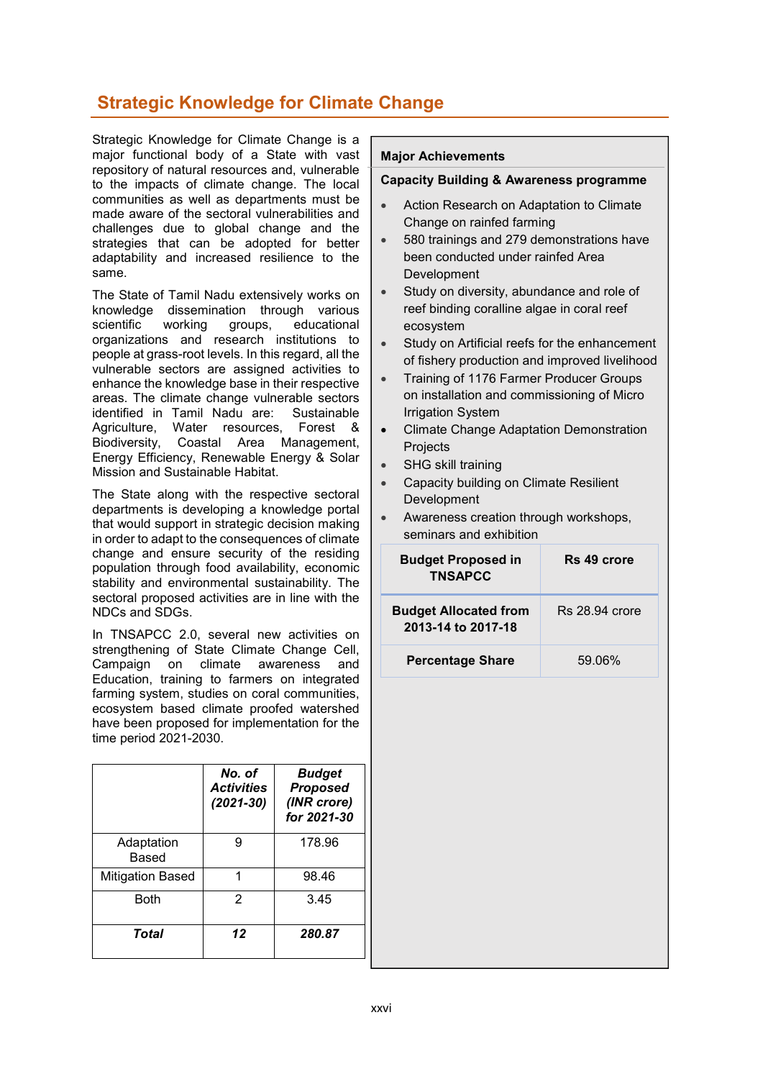## **Strategic Knowledge for Climate Change**

Strategic Knowledge for Climate Change is a major functional body of a State with vast repository of natural resources and, vulnerable to the impacts of climate change. The local communities as well as departments must be made aware of the sectoral vulnerabilities and challenges due to global change and the strategies that can be adopted for better adaptability and increased resilience to the same.

The State of Tamil Nadu extensively works on knowledge dissemination through various<br>scientific working groups, educational working groups, educational organizations and research institutions to people at grass-root levels. In this regard, all the vulnerable sectors are assigned activities to enhance the knowledge base in their respective areas. The climate change vulnerable sectors identified in Tamil Nadu are: Sustainable Agriculture, Water resources, Forest & Biodiversity, Coastal Area Management, Energy Efficiency, Renewable Energy & Solar Mission and Sustainable Habitat.

The State along with the respective sectoral departments is developing a knowledge portal that would support in strategic decision making in order to adapt to the consequences of climate change and ensure security of the residing population through food availability, economic stability and environmental sustainability. The sectoral proposed activities are in line with the NDCs and SDGs.

In TNSAPCC 2.0, several new activities on strengthening of State Climate Change Cell, Campaign on climate awareness and Education, training to farmers on integrated farming system, studies on coral communities, ecosystem based climate proofed watershed have been proposed for implementation for the time period 2021-2030.

|                         | No. of<br><b>Activities</b><br>$(2021 - 30)$ | <b>Budget</b><br><b>Proposed</b><br>(INR crore)<br>for 2021-30 |
|-------------------------|----------------------------------------------|----------------------------------------------------------------|
| Adaptation<br>Based     | 9                                            | 178.96                                                         |
| <b>Mitigation Based</b> | 1                                            | 98.46                                                          |
| Both                    | 2                                            | 3.45                                                           |
| Total                   | 12                                           | 280.87                                                         |

#### **Major Achievements**

#### **Capacity Building & Awareness programme**

- Action Research on Adaptation to Climate Change on rainfed farming
- 580 trainings and 279 demonstrations have been conducted under rainfed Area Development
- Study on diversity, abundance and role of reef binding coralline algae in coral reef ecosystem
- Study on Artificial reefs for the enhancement of fishery production and improved livelihood
- Training of 1176 Farmer Producer Groups on installation and commissioning of Micro Irrigation System
- Climate Change Adaptation Demonstration **Projects**
- SHG skill training
- Capacity building on Climate Resilient **Development**
- Awareness creation through workshops, seminars and exhibition

| <b>Budget Proposed in</b><br><b>TNSAPCC</b>        | Rs 49 crore           |
|----------------------------------------------------|-----------------------|
| <b>Budget Allocated from</b><br>2013-14 to 2017-18 | <b>Rs</b> 28.94 crore |
| <b>Percentage Share</b>                            | 59 06%                |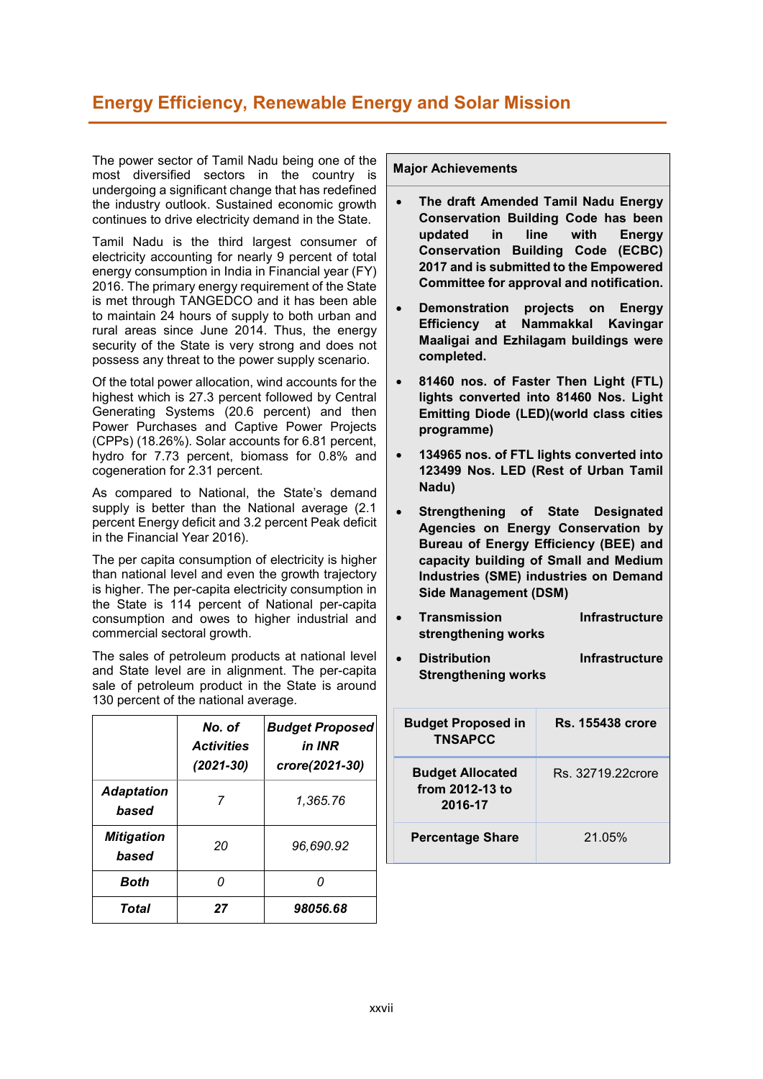## **Energy Efficiency, Renewable Energy and Solar Mission**

The power sector of Tamil Nadu being one of the most diversified sectors in the country is undergoing a significant change that has redefined the industry outlook. Sustained economic growth continues to drive electricity demand in the State.

Tamil Nadu is the third largest consumer of electricity accounting for nearly 9 percent of total energy consumption in India in Financial year (FY) 2016. The primary energy requirement of the State is met through TANGEDCO and it has been able to maintain 24 hours of supply to both urban and rural areas since June 2014. Thus, the energy security of the State is very strong and does not possess any threat to the power supply scenario.

Of the total power allocation, wind accounts for the highest which is 27.3 percent followed by Central Generating Systems (20.6 percent) and then Power Purchases and Captive Power Projects (CPPs) (18.26%). Solar accounts for 6.81 percent, hydro for 7.73 percent, biomass for 0.8% and cogeneration for 2.31 percent.

As compared to National, the State's demand supply is better than the National average (2.1 percent Energy deficit and 3.2 percent Peak deficit in the Financial Year 2016).

The per capita consumption of electricity is higher than national level and even the growth trajectory is higher. The per-capita electricity consumption in the State is 114 percent of National per-capita consumption and owes to higher industrial and commercial sectoral growth.

The sales of petroleum products at national level and State level are in alignment. The per-capita sale of petroleum product in the State is around 130 percent of the national average.

|                            | No. of<br><b>Activities</b><br>$(2021 - 30)$ | <b>Budget Proposed</b><br>in INR<br>crore(2021-30) |  |
|----------------------------|----------------------------------------------|----------------------------------------------------|--|
| Adaptation<br>based        | 7                                            | 1,365.76                                           |  |
| <b>Mitigation</b><br>based | 20                                           | 96,690.92                                          |  |
| <b>Both</b>                |                                              |                                                    |  |
| Total                      | 27                                           | 98056.68                                           |  |

**Major Achievements** 

- **The draft Amended Tamil Nadu Energy Conservation Building Code has been updated in line with Energy Conservation Building Code (ECBC) 2017 and is submitted to the Empowered Committee for approval and notification.**
- **Demonstration projects on Energy Efficiency at Nammakkal Kavingar Maaligai and Ezhilagam buildings were completed.**
- **81460 nos. of Faster Then Light (FTL) lights converted into 81460 Nos. Light Emitting Diode (LED)(world class cities programme)**
- **134965 nos. of FTL lights converted into 123499 Nos. LED (Rest of Urban Tamil Nadu)**
- **Strengthening of State Designated Agencies on Energy Conservation by Bureau of Energy Efficiency (BEE) and capacity building of Small and Medium Industries (SME) industries on Demand Side Management (DSM)**
- **Transmission Infrastructure strengthening works**
- **Distribution** Infrastructure **Strengthening works**

| <b>Budget Proposed in</b><br><b>TNSAPCC</b>               | <b>Rs. 155438 crore</b> |
|-----------------------------------------------------------|-------------------------|
| <b>Budget Allocated</b><br>from $2012 - 13$ to<br>2016-17 | Rs. 32719.22 crore      |
| <b>Percentage Share</b>                                   | 21.05%                  |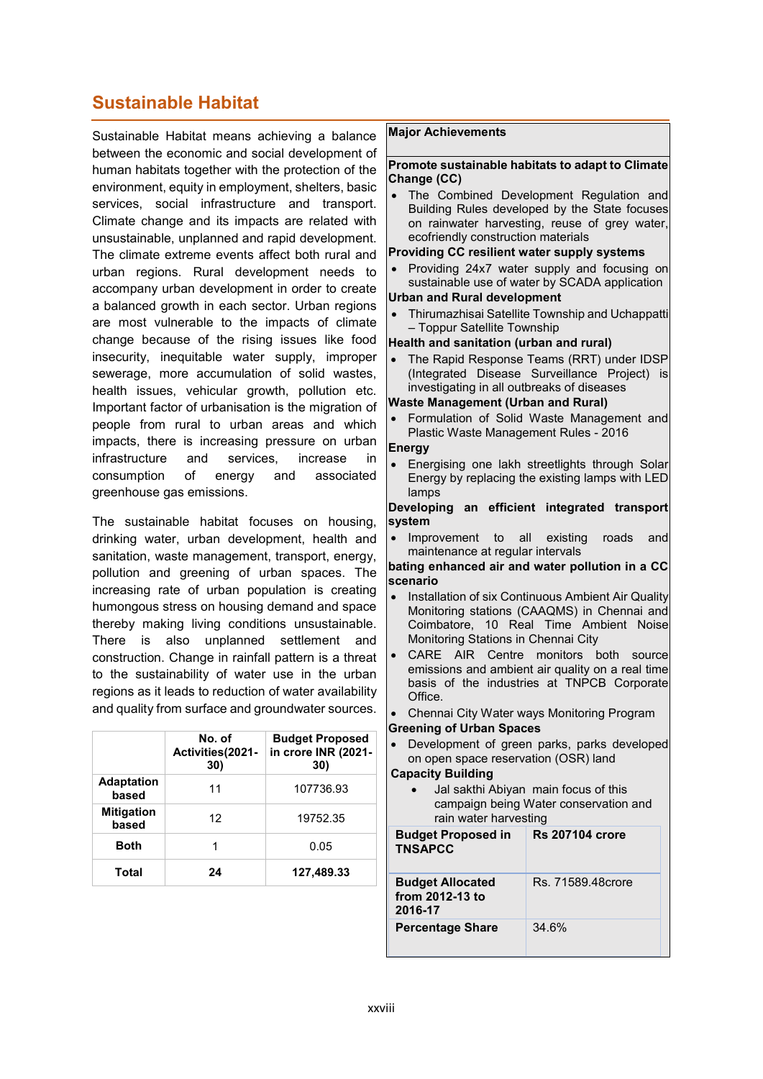## **Sustainable Habitat**

Sustainable Habitat means achieving a balance between the economic and social development of human habitats together with the protection of the environment, equity in employment, shelters, basic services, social infrastructure and transport. Climate change and its impacts are related with unsustainable, unplanned and rapid development. The climate extreme events affect both rural and urban regions. Rural development needs to accompany urban development in order to create a balanced growth in each sector. Urban regions are most vulnerable to the impacts of climate change because of the rising issues like food insecurity, inequitable water supply, improper sewerage, more accumulation of solid wastes, health issues, vehicular growth, pollution etc. Important factor of urbanisation is the migration of people from rural to urban areas and which impacts, there is increasing pressure on urban infrastructure and services, increase in consumption of energy and associated greenhouse gas emissions.

The sustainable habitat focuses on housing, drinking water, urban development, health and sanitation, waste management, transport, energy, pollution and greening of urban spaces. The increasing rate of urban population is creating humongous stress on housing demand and space thereby making living conditions unsustainable. There is also unplanned settlement and construction. Change in rainfall pattern is a threat to the sustainability of water use in the urban regions as it leads to reduction of water availability and quality from surface and groundwater sources.

|                            | No. of<br><b>Activities</b> (2021-<br>30) | <b>Budget Proposed</b><br>in crore INR (2021-<br>30) |  |  |
|----------------------------|-------------------------------------------|------------------------------------------------------|--|--|
| <b>Adaptation</b><br>based | 11                                        | 107736.93                                            |  |  |
| <b>Mitigation</b><br>based | 12                                        | 19752.35                                             |  |  |
| <b>Both</b>                | 1                                         | 0.05                                                 |  |  |
| Total                      | 24                                        | 127,489.33                                           |  |  |

#### **Major Achievements**

#### **Promote sustainable habitats to adapt to Climate Change (CC)**

 The Combined Development Regulation and Building Rules developed by the State focuses on rainwater harvesting, reuse of grey water, ecofriendly construction materials

#### **Providing CC resilient water supply systems**

- Providing 24x7 water supply and focusing on sustainable use of water by SCADA application **Urban and Rural development**
- Thirumazhisai Satellite Township and Uchappatti – Toppur Satellite Township

#### **Health and sanitation (urban and rural)**

 The Rapid Response Teams (RRT) under IDSP (Integrated Disease Surveillance Project) is investigating in all outbreaks of diseases

#### **Waste Management (Urban and Rural)**

- Formulation of Solid Waste Management and Plastic Waste Management Rules - 2016 **Energy**
- Energising one lakh streetlights through Solar Energy by replacing the existing lamps with LED lamps

#### **Developing an efficient integrated transport system**

 Improvement to all existing roads and maintenance at regular intervals

#### **bating enhanced air and water pollution in a CC scenario**

- Installation of six Continuous Ambient Air Quality Monitoring stations (CAAQMS) in Chennai and Coimbatore, 10 Real Time Ambient Noise Monitoring Stations in Chennai City
- CARE AIR Centre monitors both source emissions and ambient air quality on a real time basis of the industries at TNPCB Corporate Office.
- Chennai City Water ways Monitoring Program **Greening of Urban Spaces**
- Development of green parks, parks developed on open space reservation (OSR) land

#### **Capacity Building**

 Jal sakthi Abiyan main focus of this campaign being Water conservation and rain water harvesting

| <b>Budget Proposed in</b><br><b>TNSAPCC</b>           | <b>Rs 207104 crore</b> |
|-------------------------------------------------------|------------------------|
| <b>Budget Allocated</b><br>from 2012-13 to<br>2016-17 | Rs. 71589.48 crore     |
| <b>Percentage Share</b>                               | 34.6%                  |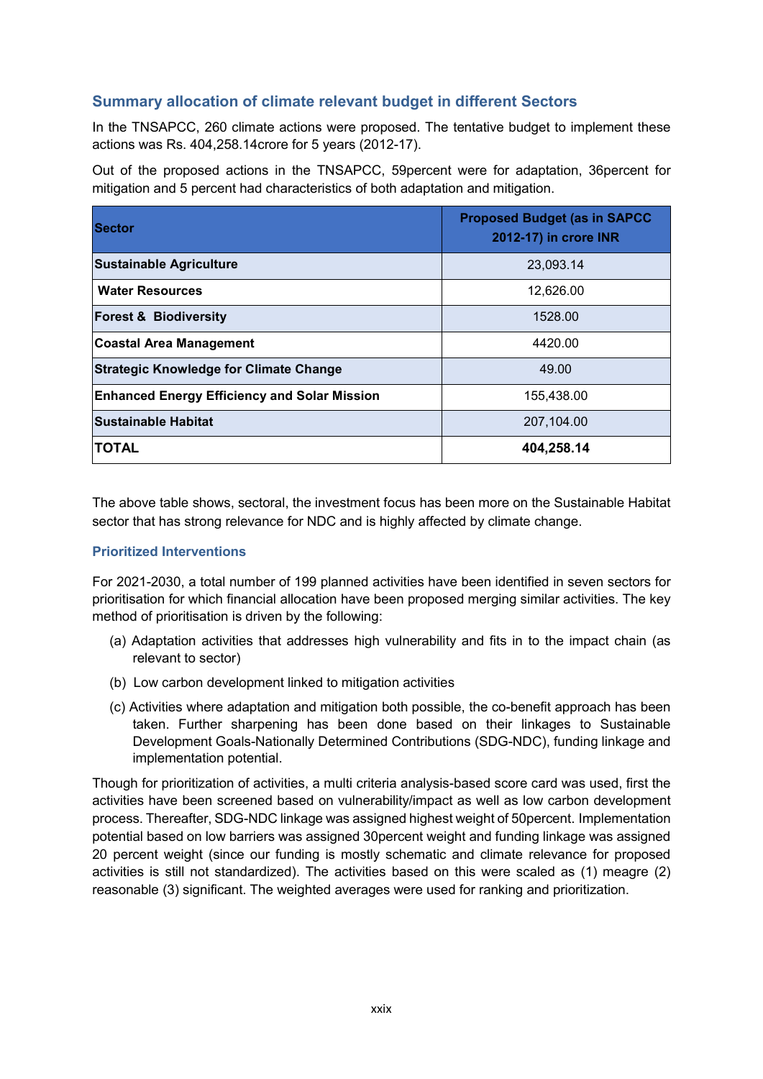## **Summary allocation of climate relevant budget in different Sectors**

In the TNSAPCC, 260 climate actions were proposed. The tentative budget to implement these actions was Rs. 404,258.14crore for 5 years (2012-17).

Out of the proposed actions in the TNSAPCC, 59percent were for adaptation, 36percent for mitigation and 5 percent had characteristics of both adaptation and mitigation.

| <b>Sector</b>                                       | <b>Proposed Budget (as in SAPCC</b><br>2012-17) in crore INR |  |  |
|-----------------------------------------------------|--------------------------------------------------------------|--|--|
| <b>Sustainable Agriculture</b>                      | 23,093.14                                                    |  |  |
| <b>Water Resources</b>                              | 12,626.00                                                    |  |  |
| <b>Forest &amp; Biodiversity</b>                    | 1528.00                                                      |  |  |
| <b>Coastal Area Management</b>                      | 4420.00                                                      |  |  |
| <b>Strategic Knowledge for Climate Change</b>       | 49.00                                                        |  |  |
| <b>Enhanced Energy Efficiency and Solar Mission</b> | 155,438.00                                                   |  |  |
| <b>Sustainable Habitat</b>                          | 207.104.00                                                   |  |  |
| <b>TOTAL</b>                                        | 404,258.14                                                   |  |  |

The above table shows, sectoral, the investment focus has been more on the Sustainable Habitat sector that has strong relevance for NDC and is highly affected by climate change.

### **Prioritized Interventions**

For 2021-2030, a total number of 199 planned activities have been identified in seven sectors for prioritisation for which financial allocation have been proposed merging similar activities. The key method of prioritisation is driven by the following:

- (a) Adaptation activities that addresses high vulnerability and fits in to the impact chain (as relevant to sector)
- (b) Low carbon development linked to mitigation activities
- (c) Activities where adaptation and mitigation both possible, the co-benefit approach has been taken. Further sharpening has been done based on their linkages to Sustainable Development Goals-Nationally Determined Contributions (SDG-NDC), funding linkage and implementation potential.

Though for prioritization of activities, a multi criteria analysis-based score card was used, first the activities have been screened based on vulnerability/impact as well as low carbon development process. Thereafter, SDG-NDC linkage was assigned highest weight of 50percent. Implementation potential based on low barriers was assigned 30percent weight and funding linkage was assigned 20 percent weight (since our funding is mostly schematic and climate relevance for proposed activities is still not standardized). The activities based on this were scaled as (1) meagre (2) reasonable (3) significant. The weighted averages were used for ranking and prioritization.